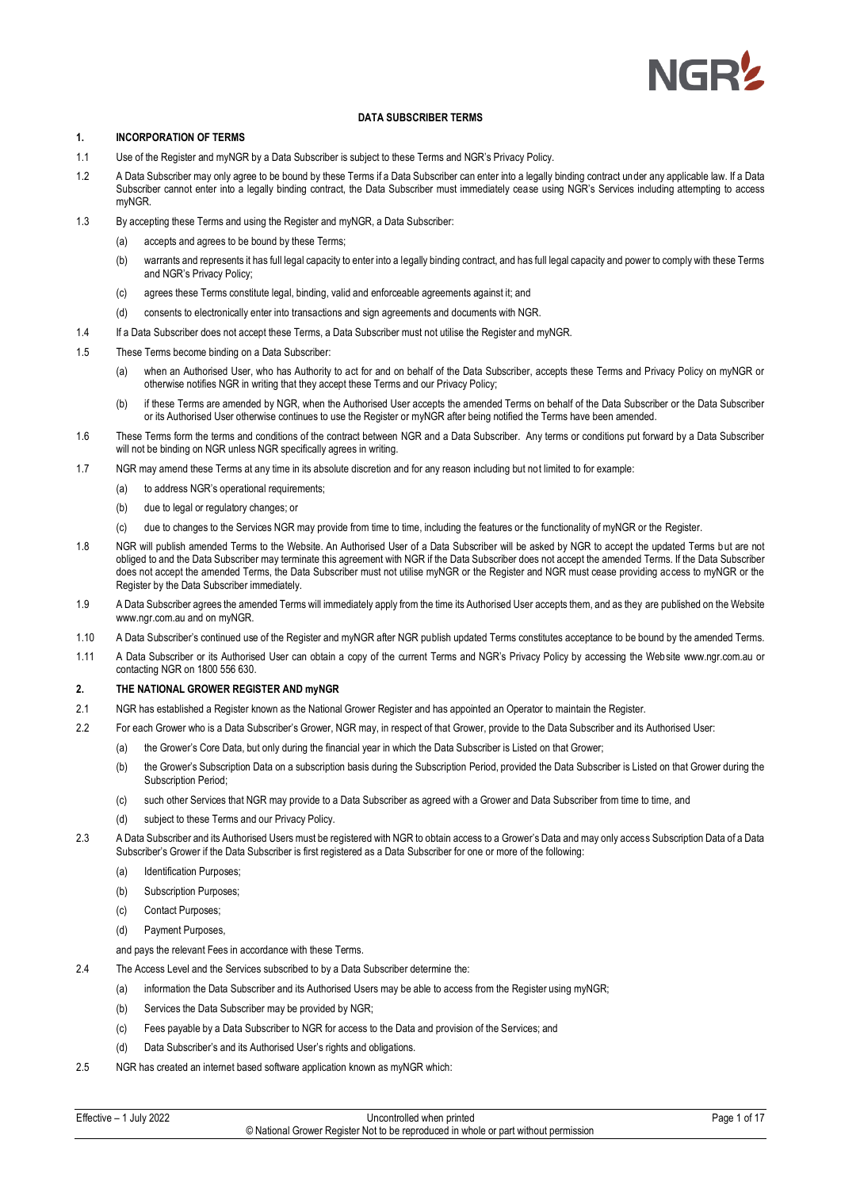

# **1. INCORPORATION OF TERMS**

- 1.1 Use of the Register and myNGR by a Data Subscriber is subject to these Terms and NGR's Privacy Policy.
- 1.2 A Data Subscriber may only agree to be bound by these Terms if a Data Subscriber can enter into a legally binding contract under any applicable law. If a Data Subscriber cannot enter into a legally binding contract, the Data Subscriber must immediately cease using NGR's Services including attempting to access myNGR.
- 1.3 By accepting these Terms and using the Register and myNGR, a Data Subscriber:
	- (a) accepts and agrees to be bound by these Terms;
	- (b) warrants and represents it has full legal capacity to enter into a legally binding contract, and has full legal capacity and power to comply with these Terms and NGR's Privacy Policy;
	- (c) agrees these Terms constitute legal, binding, valid and enforceable agreements against it; and
	- (d) consents to electronically enter into transactions and sign agreements and documents with NGR.
- 1.4 If a Data Subscriber does not accept these Terms, a Data Subscriber must not utilise the Register and myNGR.
- 1.5 These Terms become binding on a Data Subscriber:
	- (a) when an Authorised User, who has Authority to act for and on behalf of the Data Subscriber, accepts these Terms and Privacy Policy on myNGR or otherwise notifies NGR in writing that they accept these Terms and our Privacy Policy;
	- (b) if these Terms are amended by NGR, when the Authorised User accepts the amended Terms on behalf of the Data Subscriber or the Data Subscriber or its Authorised User otherwise continues to use the Register or myNGR after being notified the Terms have been amended.
- 1.6 These Terms form the terms and conditions of the contract between NGR and a Data Subscriber. Any terms or conditions put forward by a Data Subscriber will not be binding on NGR unless NGR specifically agrees in writing.
- 1.7 NGR may amend these Terms at any time in its absolute discretion and for any reason including but not limited to for example:
	- (a) to address NGR's operational requirements;
		- (b) due to legal or regulatory changes; or
		- (c) due to changes to the Services NGR may provide from time to time, including the features or the functionality of myNGR or the Register.
- 1.8 NGR will publish amended Terms to the Website. An Authorised User of a Data Subscriber will be asked by NGR to accept the updated Terms but are not obliged to and the Data Subscriber may terminate this agreement with NGR if the Data Subscriber does not accept the amended Terms. If the Data Subscriber does not accept the amended Terms, the Data Subscriber must not utilise myNGR or the Register and NGR must cease providing access to myNGR or the Register by the Data Subscriber immediately.
- 1.9 A Data Subscriber agrees the amended Terms will immediately apply from the time its Authorised User accepts them, and as they are published on the Website www.ngr.com.au and on myNGR.
- 1.10 A Data Subscriber's continued use of the Register and myNGR after NGR publish updated Terms constitutes acceptance to be bound by the amended Terms.
- 1.11 A Data Subscriber or its Authorised User can obtain a copy of the current Terms and NGR's Privacy Policy by accessing the Website www.ngr.com.au or contacting NGR on 1800 556 630.

# **2. THE NATIONAL GROWER REGISTER AND myNGR**

- 2.1 NGR has established a Register known as the National Grower Register and has appointed an Operator to maintain the Register.
- 2.2 For each Grower who is a Data Subscriber's Grower, NGR may, in respect of that Grower, provide to the Data Subscriber and its Authorised User:
	- (a) the Grower's Core Data, but only during the financial year in which the Data Subscriber is Listed on that Grower;
	- (b) the Grower's Subscription Data on a subscription basis during the Subscription Period, provided the Data Subscriber is Listed on that Grower during the Subscription Period:
	- (c) such other Services that NGR may provide to a Data Subscriber as agreed with a Grower and Data Subscriber from time to time, and
	- (d) subject to these Terms and our Privacy Policy.
- 2.3 A Data Subscriber and its Authorised Users must be registered with NGR to obtain access to a Grower's Data and may only access Subscription Data of a Data Subscriber's Grower if the Data Subscriber is first registered as a Data Subscriber for one or more of the following:
	- (a) Identification Purposes;
	- (b) Subscription Purposes;
	- (c) Contact Purposes;
	- (d) Payment Purposes,

and pays the relevant Fees in accordance with these Terms.

- 2.4 The Access Level and the Services subscribed to by a Data Subscriber determine the:
	- (a) information the Data Subscriber and its Authorised Users may be able to access from the Register using myNGR;
	- (b) Services the Data Subscriber may be provided by NGR;
	- (c) Fees payable by a Data Subscriber to NGR for access to the Data and provision of the Services; and
	- (d) Data Subscriber's and its Authorised User's rights and obligations.
- 2.5 NGR has created an internet based software application known as myNGR which: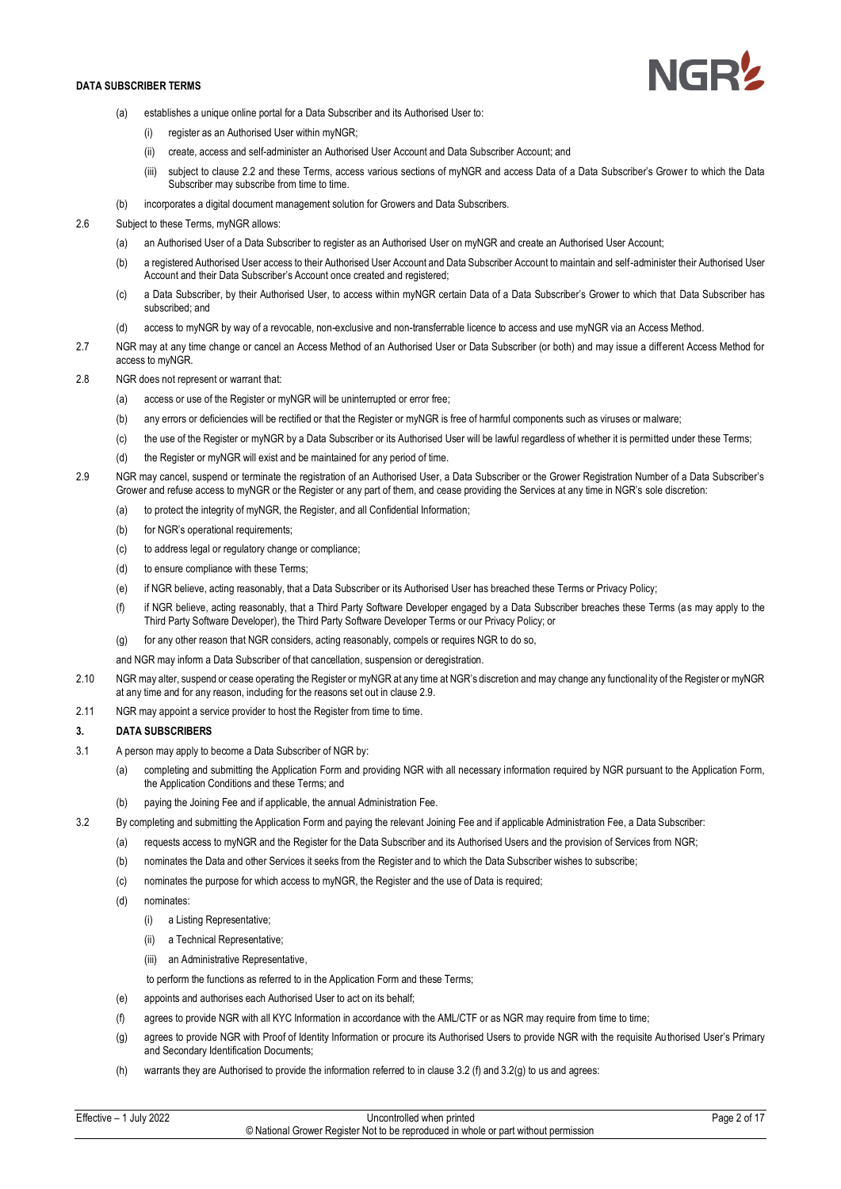

- (a) establishes a unique online portal for a Data Subscriber and its Authorised User to:
	- (i) register as an Authorised User within myNGR;
	- (ii) create, access and self-administer an Authorised User Account and Data Subscriber Account; and
	- (iii) subject to clause 2.2 and these Terms, access various sections of myNGR and access Data of a Data Subscriber's Grower to which the Data Subscriber may subscribe from time to time.
- (b) incorporates a digital document management solution for Growers and Data Subscribers.
- 2.6 Subject to these Terms, myNGR allows:
	- (a) an Authorised User of a Data Subscriber to register as an Authorised User on myNGR and create an Authorised User Account;
	- (b) a registered Authorised User access to their Authorised User Account and Data Subscriber Account to maintain and self-administer their Authorised User Account and their Data Subscriber's Account once created and registered;
	- (c) a Data Subscriber, by their Authorised User, to access within myNGR certain Data of a Data Subscriber's Grower to which that Data Subscriber has subscribed; and
	- (d) access to myNGR by way of a revocable, non-exclusive and non-transferrable licence to access and use myNGR via an Access Method.
- 2.7 NGR may at any time change or cancel an Access Method of an Authorised User or Data Subscriber (or both) and may issue a different Access Method for access to myNGR.
- 2.8 NGR does not represent or warrant that:
	- (a) access or use of the Register or myNGR will be uninterrupted or error free;
	- (b) any errors or deficiencies will be rectified or that the Register or myNGR is free of harmful components such as viruses or malware;
	- (c) the use of the Register or myNGR by a Data Subscriber or its Authorised User will be lawful regardless of whether it is permitted under these Terms;
	- (d) the Register or myNGR will exist and be maintained for any period of time.
- 2.9 NGR may cancel, suspend or terminate the registration of an Authorised User, a Data Subscriber or the Grower Registration Number of a Data Subscriber's Grower and refuse access to myNGR or the Register or any part of them, and cease providing the Services at any time in NGR's sole discretion:
	- (a) to protect the integrity of myNGR, the Register, and all Confidential Information;
	- (b) for NGR's operational requirements;
	- (c) to address legal or regulatory change or compliance;
	- (d) to ensure compliance with these Terms;
	- (e) if NGR believe, acting reasonably, that a Data Subscriber or its Authorised User has breached these Terms or Privacy Policy;
	- (f) if NGR believe, acting reasonably, that a Third Party Software Developer engaged by a Data Subscriber breaches these Terms (as may apply to the Third Party Software Developer), the Third Party Software Developer Terms or our Privacy Policy; or
	- (g) for any other reason that NGR considers, acting reasonably, compels or requires NGR to do so,

and NGR may inform a Data Subscriber of that cancellation, suspension or deregistration.

- 2.10 NGR may alter, suspend or cease operating the Register or myNGR at any time at NGR's discretion and may change any functionality of the Register or myNGR at any time and for any reason, including for the reasons set out in clause 2.9.
- 2.11 NGR may appoint a service provider to host the Register from time to time.

## **3. DATA SUBSCRIBERS**

- 3.1 A person may apply to become a Data Subscriber of NGR by:
	- (a) completing and submitting the Application Form and providing NGR with all necessary information required by NGR pursuant to the Application Form, the Application Conditions and these Terms; and
	- (b) paying the Joining Fee and if applicable, the annual Administration Fee.
- 3.2 By completing and submitting the Application Form and paying the relevant Joining Fee and if applicable Administration Fee, a Data Subscriber:
	- (a) requests access to myNGR and the Register for the Data Subscriber and its Authorised Users and the provision of Services from NGR;
	- (b) nominates the Data and other Services it seeks from the Register and to which the Data Subscriber wishes to subscribe;
	- (c) nominates the purpose for which access to myNGR, the Register and the use of Data is required;
	- (d) nominates:
		- (i) a Listing Representative;
		- (ii) a Technical Representative;
		- (iii) an Administrative Representative,

to perform the functions as referred to in the Application Form and these Terms;

- (e) appoints and authorises each Authorised User to act on its behalf;
- (f) agrees to provide NGR with all KYC Information in accordance with the AML/CTF or as NGR may require from time to time;
- (g) agrees to provide NGR with Proof of Identity Information or procure its Authorised Users to provide NGR with the requisite Authorised User's Primary and Secondary Identification Documents;
- (h) warrants they are Authorised to provide the information referred to in clause 3.2 (f) and 3.2(g) to us and agrees: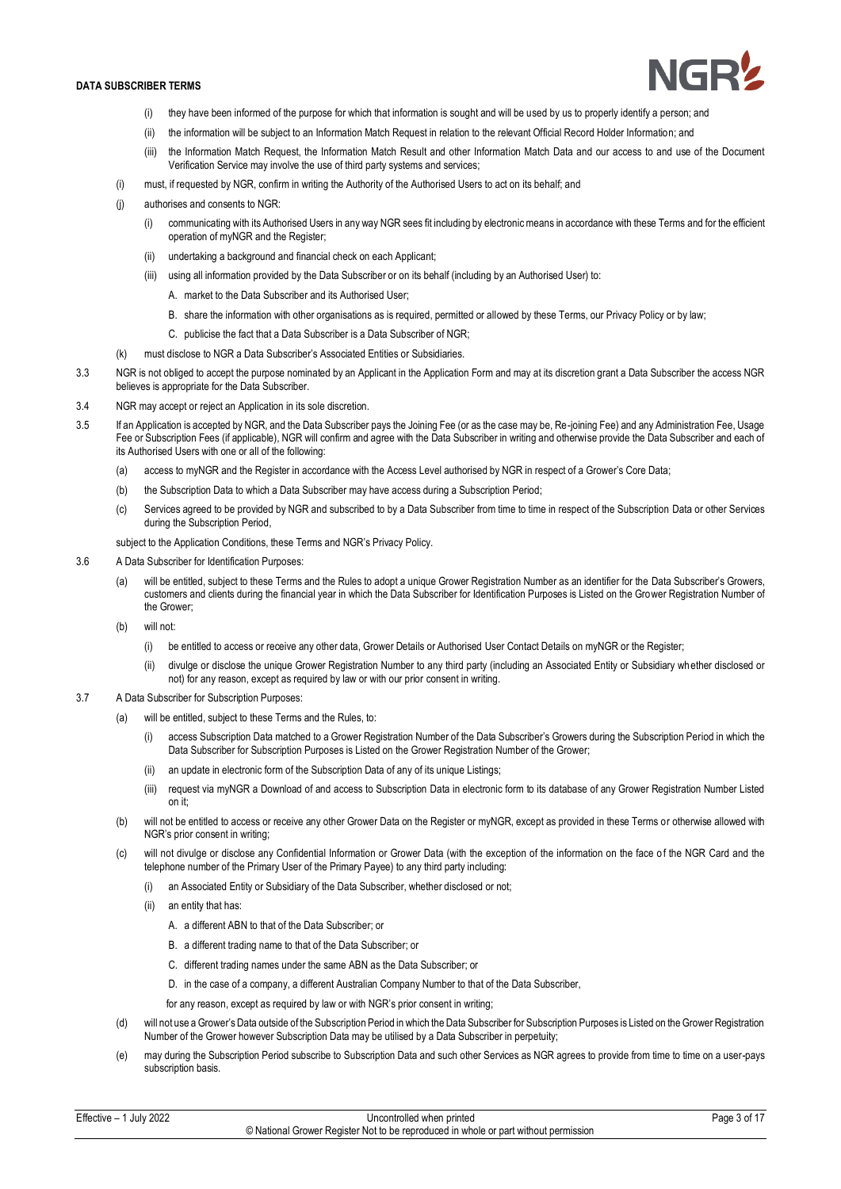

- (i) they have been informed of the purpose for which that information is sought and will be used by us to properly identify a person; and
- (ii) the information will be subject to an Information Match Request in relation to the relevant Official Record Holder Information; and
- (iii) the Information Match Request, the Information Match Result and other Information Match Data and our access to and use of the Document Verification Service may involve the use of third party systems and services;
- (i) must, if requested by NGR, confirm in writing the Authority of the Authorised Users to act on its behalf; and
- (j) authorises and consents to NGR:
	- (i) communicating with its Authorised Users in any way NGR sees fit including by electronic means in accordance with these Terms and for the efficient operation of myNGR and the Register;
	- (ii) undertaking a background and financial check on each Applicant;
	- (iii) using all information provided by the Data Subscriber or on its behalf (including by an Authorised User) to:
		- A. market to the Data Subscriber and its Authorised User;
		- B. share the information with other organisations as is required, permitted or allowed by these Terms, our Privacy Policy or by law;
		- C. publicise the fact that a Data Subscriber is a Data Subscriber of NGR;
- (k) must disclose to NGR a Data Subscriber's Associated Entities or Subsidiaries.
- 3.3 NGR is not obliged to accept the purpose nominated by an Applicant in the Application Form and may at its discretion grant a Data Subscriber the access NGR believes is appropriate for the Data Subscriber.
- 3.4 NGR may accept or reject an Application in its sole discretion.
- 3.5 If an Application is accepted by NGR, and the Data Subscriber pays the Joining Fee (or as the case may be, Re-joining Fee) and any Administration Fee, Usage Fee or Subscription Fees (if applicable), NGR will confirm and agree with the Data Subscriber in writing and otherwise provide the Data Subscriber and each of its Authorised Users with one or all of the following:
	- (a) access to myNGR and the Register in accordance with the Access Level authorised by NGR in respect of a Grower's Core Data;
	- (b) the Subscription Data to which a Data Subscriber may have access during a Subscription Period;
	- (c) Services agreed to be provided by NGR and subscribed to by a Data Subscriber from time to time in respect of the Subscription Data or other Services during the Subscription Period.

subject to the Application Conditions, these Terms and NGR's Privacy Policy.

- 3.6 A Data Subscriber for Identification Purposes:
	- will be entitled, subject to these Terms and the Rules to adopt a unique Grower Registration Number as an identifier for the Data Subscriber's Growers, customers and clients during the financial year in which the Data Subscriber for Identification Purposes is Listed on the Grower Registration Number of the Grower;
	- (b) will not:
		- (i) be entitled to access or receive any other data, Grower Details or Authorised User Contact Details on myNGR or the Register;
		- (ii) divulge or disclose the unique Grower Registration Number to any third party (including an Associated Entity or Subsidiary whether disclosed or not) for any reason, except as required by law or with our prior consent in writing.
- 3.7 A Data Subscriber for Subscription Purposes:
	- (a) will be entitled, subject to these Terms and the Rules, to:
		- (i) access Subscription Data matched to a Grower Registration Number of the Data Subscriber's Growers during the Subscription Period in which the Data Subscriber for Subscription Purposes is Listed on the Grower Registration Number of the Grower;
		- (ii) an update in electronic form of the Subscription Data of any of its unique Listings;
		- (iii) request via myNGR a Download of and access to Subscription Data in electronic form to its database of any Grower Registration Number Listed on it;
	- (b) will not be entitled to access or receive any other Grower Data on the Register or myNGR, except as provided in these Terms or otherwise allowed with NGR's prior consent in writing;
	- (c) will not divulge or disclose any Confidential Information or Grower Data (with the exception of the information on the face of the NGR Card and the telephone number of the Primary User of the Primary Payee) to any third party including:
		- (i) an Associated Entity or Subsidiary of the Data Subscriber, whether disclosed or not;
		- (ii) an entity that has:
			- A. a different ABN to that of the Data Subscriber; or
			- B. a different trading name to that of the Data Subscriber; or
			- C. different trading names under the same ABN as the Data Subscriber; or
			- D. in the case of a company, a different Australian Company Number to that of the Data Subscriber,
			- for any reason, except as required by law or with NGR's prior consent in writing;
	- (d) will not use a Grower's Data outside of the Subscription Period in which the Data Subscriber for Subscription Purposes is Listed on the Grower Registration Number of the Grower however Subscription Data may be utilised by a Data Subscriber in perpetuity;
	- (e) may during the Subscription Period subscribe to Subscription Data and such other Services as NGR agrees to provide from time to time on a user-pays subscription basis.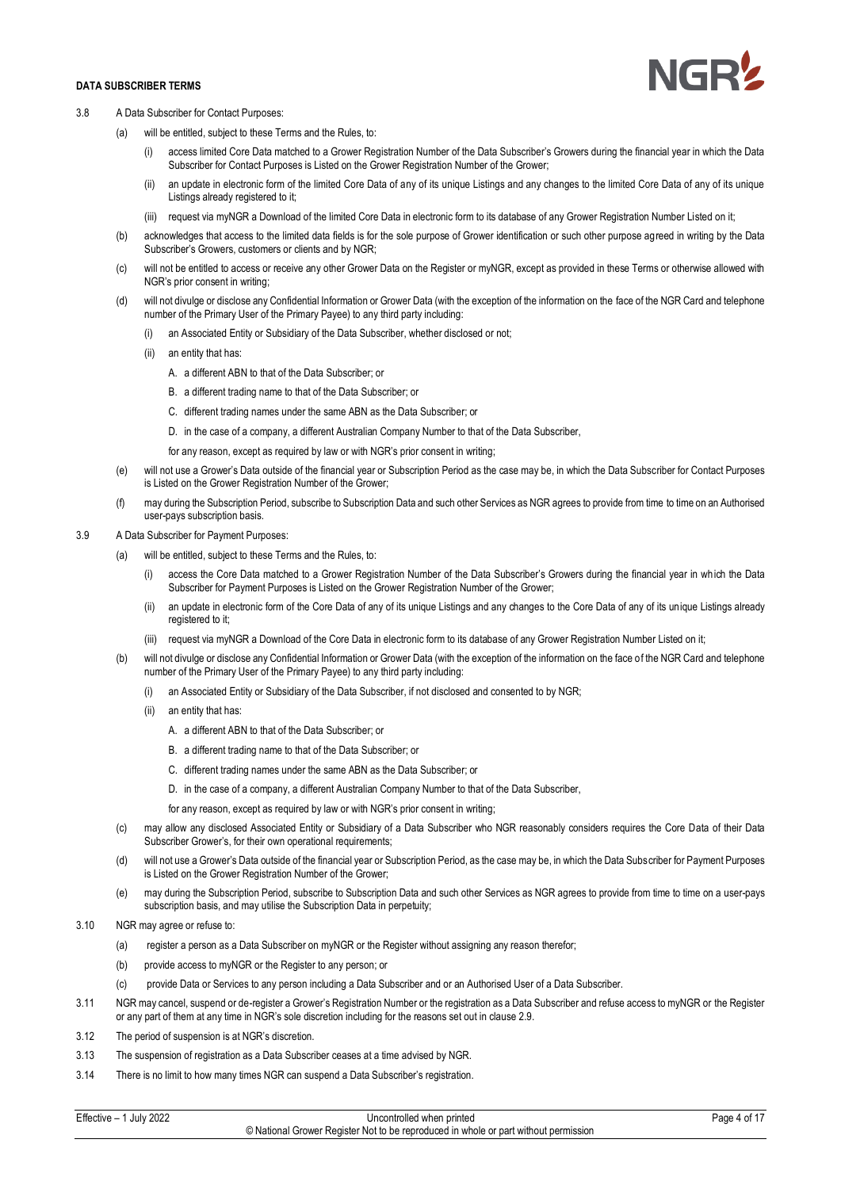

- 3.8 A Data Subscriber for Contact Purposes:
	- (a) will be entitled, subject to these Terms and the Rules, to:
		- (i) access limited Core Data matched to a Grower Registration Number of the Data Subscriber's Growers during the financial year in which the Data Subscriber for Contact Purposes is Listed on the Grower Registration Number of the Grower;
		- (ii) an update in electronic form of the limited Core Data of any of its unique Listings and any changes to the limited Core Data of any of its unique Listings already registered to it;
		- (iii) request via myNGR a Download of the limited Core Data in electronic form to its database of any Grower Registration Number Listed on it;
	- (b) acknowledges that access to the limited data fields is for the sole purpose of Grower identification or such other purpose agreed in writing by the Data Subscriber's Growers, customers or clients and by NGR;
	- (c) will not be entitled to access or receive any other Grower Data on the Register or myNGR, except as provided in these Terms or otherwise allowed with NGR's prior consent in writing;
	- (d) will not divulge or disclose any Confidential Information or Grower Data (with the exception of the information on the face of the NGR Card and telephone number of the Primary User of the Primary Payee) to any third party including:
		- (i) an Associated Entity or Subsidiary of the Data Subscriber, whether disclosed or not;
		- (ii) an entity that has:
			- A. a different ABN to that of the Data Subscriber; or
			- B. a different trading name to that of the Data Subscriber; or
			- C. different trading names under the same ABN as the Data Subscriber; or
			- D. in the case of a company, a different Australian Company Number to that of the Data Subscriber,

for any reason, except as required by law or with NGR's prior consent in writing;

- (e) will not use a Grower's Data outside of the financial year or Subscription Period as the case may be, in which the Data Subscriber for Contact Purposes is Listed on the Grower Registration Number of the Grower;
- (f) may during the Subscription Period, subscribe to Subscription Data and such other Services as NGR agrees to provide from time to time on an Authorised user-pays subscription basis.

# 3.9 A Data Subscriber for Payment Purposes:

- (a) will be entitled, subject to these Terms and the Rules, to:
	- (i) access the Core Data matched to a Grower Registration Number of the Data Subscriber's Growers during the financial year in wh ich the Data Subscriber for Payment Purposes is Listed on the Grower Registration Number of the Grower;
	- (ii) an update in electronic form of the Core Data of any of its unique Listings and any changes to the Core Data of any of its unique Listings already registered to it;
	- (iii) request via myNGR a Download of the Core Data in electronic form to its database of any Grower Registration Number Listed on it;
- (b) will not divulge or disclose any Confidential Information or Grower Data (with the exception of the information on the face of the NGR Card and telephone number of the Primary User of the Primary Payee) to any third party including:
	- (i) an Associated Entity or Subsidiary of the Data Subscriber, if not disclosed and consented to by NGR;
	- (ii) an entity that has:
		- A. a different ABN to that of the Data Subscriber; or
		- B. a different trading name to that of the Data Subscriber; or
		- C. different trading names under the same ABN as the Data Subscriber; or
		- D. in the case of a company, a different Australian Company Number to that of the Data Subscriber,
		- for any reason, except as required by law or with NGR's prior consent in writing;
- (c) may allow any disclosed Associated Entity or Subsidiary of a Data Subscriber who NGR reasonably considers requires the Core Data of their Data Subscriber Grower's, for their own operational requirements;
- (d) will not use a Grower's Data outside of the financial year or Subscription Period, as the case may be, in which the Data Subscriber for Payment Purposes is Listed on the Grower Registration Number of the Grower;
- (e) may during the Subscription Period, subscribe to Subscription Data and such other Services as NGR agrees to provide from time to time on a user-pays subscription basis, and may utilise the Subscription Data in perpetuity;
- 3.10 NGR may agree or refuse to:
	- (a) register a person as a Data Subscriber on myNGR or the Register without assigning any reason therefor;
	- (b) provide access to myNGR or the Register to any person; or
	- (c) provide Data or Services to any person including a Data Subscriber and or an Authorised User of a Data Subscriber.
- 3.11 NGR may cancel, suspend or de-register a Grower's Registration Number or the registration as a Data Subscriber and refuse access to myNGR or the Register or any part of them at any time in NGR's sole discretion including for the reasons set out in clause 2.9.
- 3.12 The period of suspension is at NGR's discretion.
- 3.13 The suspension of registration as a Data Subscriber ceases at a time advised by NGR.
- 3.14 There is no limit to how many times NGR can suspend a Data Subscriber's registration.

| Effective -<br><b>July 2022</b> | Uncontrolled when printed                                                           | Page 4 of $\lambda$ . |
|---------------------------------|-------------------------------------------------------------------------------------|-----------------------|
|                                 | © National Grower Register Not to be reproduced in whole or part without permission |                       |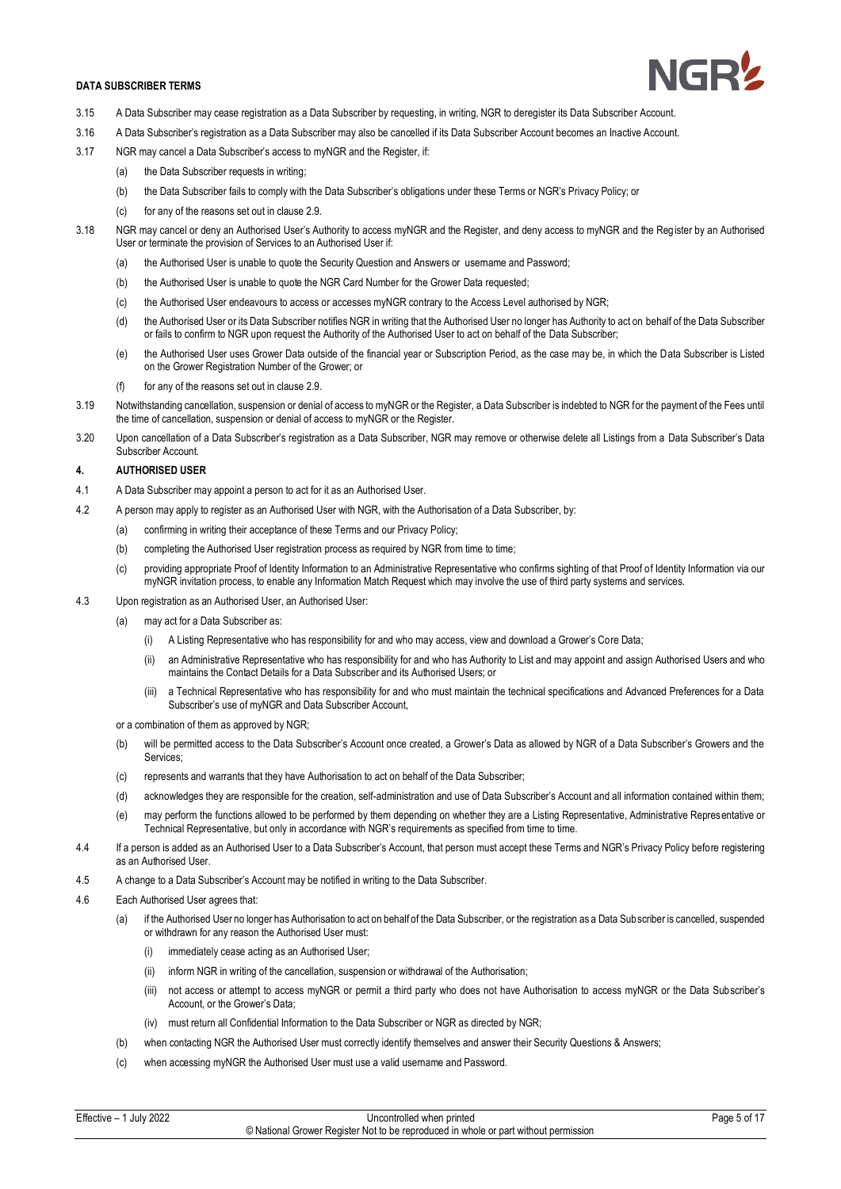

- 3.15 A Data Subscriber may cease registration as a Data Subscriber by requesting, in writing, NGR to deregister its Data Subscriber Account.
- 3.16 A Data Subscriber's registration as a Data Subscriber may also be cancelled if its Data Subscriber Account becomes an Inactive Account.
- 3.17 NGR may cancel a Data Subscriber's access to myNGR and the Register, if:
	- (a) the Data Subscriber requests in writing;
	- (b) the Data Subscriber fails to comply with the Data Subscriber's obligations under these Terms or NGR's Privacy Policy; or
	- (c) for any of the reasons set out in clause 2.9.
- 3.18 NGR may cancel or deny an Authorised User's Authority to access myNGR and the Register, and deny access to myNGR and the Register by an Authorised User or terminate the provision of Services to an Authorised User if:
	- (a) the Authorised User is unable to quote the Security Question and Answers or username and Password;
	- (b) the Authorised User is unable to quote the NGR Card Number for the Grower Data requested;
	- (c) the Authorised User endeavours to access or accesses myNGR contrary to the Access Level authorised by NGR;
	- (d) the Authorised User or its Data Subscriber notifies NGR in writing that the Authorised User no longer has Authority to act on behalf of the Data Subscriber or fails to confirm to NGR upon request the Authority of the Authorised User to act on behalf of the Data Subscriber;
	- (e) the Authorised User uses Grower Data outside of the financial year or Subscription Period, as the case may be, in which the Data Subscriber is Listed on the Grower Registration Number of the Grower; or
	- (f) for any of the reasons set out in clause 2.9.
- 3.19 Notwithstanding cancellation, suspension or denial of access to myNGR or the Register, a Data Subscriber is indebted to NGR for the payment of the Fees until the time of cancellation, suspension or denial of access to myNGR or the Register.
- 3.20 Upon cancellation of a Data Subscriber's registration as a Data Subscriber, NGR may remove or otherwise delete all Listings from a Data Subscriber's Data Subscriber Account.

## **4. AUTHORISED USER**

- 4.1 A Data Subscriber may appoint a person to act for it as an Authorised User.
- 4.2 A person may apply to register as an Authorised User with NGR, with the Authorisation of a Data Subscriber, by:
	- (a) confirming in writing their acceptance of these Terms and our Privacy Policy;
	- (b) completing the Authorised User registration process as required by NGR from time to time;
	- (c) providing appropriate Proof of Identity Information to an Administrative Representative who confirms sighting of that Proof of Identity Information via our myNGR invitation process, to enable any Information Match Request which may involve the use of third party systems and services.
- 4.3 Upon registration as an Authorised User, an Authorised User:
	- (a) may act for a Data Subscriber as:
		- (i) A Listing Representative who has responsibility for and who may access, view and download a Grower's Core Data;
		- (ii) an Administrative Representative who has responsibility for and who has Authority to List and may appoint and assign Authorised Users and who maintains the Contact Details for a Data Subscriber and its Authorised Users; or
		- (iii) a Technical Representative who has responsibility for and who must maintain the technical specifications and Advanced Preferences for a Data Subscriber's use of myNGR and Data Subscriber Account,

or a combination of them as approved by NGR;

- (b) will be permitted access to the Data Subscriber's Account once created, a Grower's Data as allowed by NGR of a Data Subscriber's Growers and the Services;
- (c) represents and warrants that they have Authorisation to act on behalf of the Data Subscriber;
- (d) acknowledges they are responsible for the creation, self-administration and use of Data Subscriber's Account and all information contained within them;
- (e) may perform the functions allowed to be performed by them depending on whether they are a Listing Representative, Administrative Representative or Technical Representative, but only in accordance with NGR's requirements as specified from time to time.
- 4.4 If a person is added as an Authorised User to a Data Subscriber's Account, that person must accept these Terms and NGR's Privacy Policy before registering as an Authorised User.
- 4.5 A change to a Data Subscriber's Account may be notified in writing to the Data Subscriber.
- 4.6 Each Authorised User agrees that:
	- (a) if the Authorised User no longer has Authorisation to act on behalf of the Data Subscriber, or the registration as a Data Subscriber is cancelled, suspended or withdrawn for any reason the Authorised User must:
		- (i) immediately cease acting as an Authorised User;
		- (ii) inform NGR in writing of the cancellation, suspension or withdrawal of the Authorisation;
		- (iii) not access or attempt to access myNGR or permit a third party who does not have Authorisation to access myNGR or the Data Subscriber's Account, or the Grower's Data;
		- (iv) must return all Confidential Information to the Data Subscriber or NGR as directed by NGR;
	- (b) when contacting NGR the Authorised User must correctly identify themselves and answer their Security Questions & Answers;
	- (c) when accessing myNGR the Authorised User must use a valid username and Password.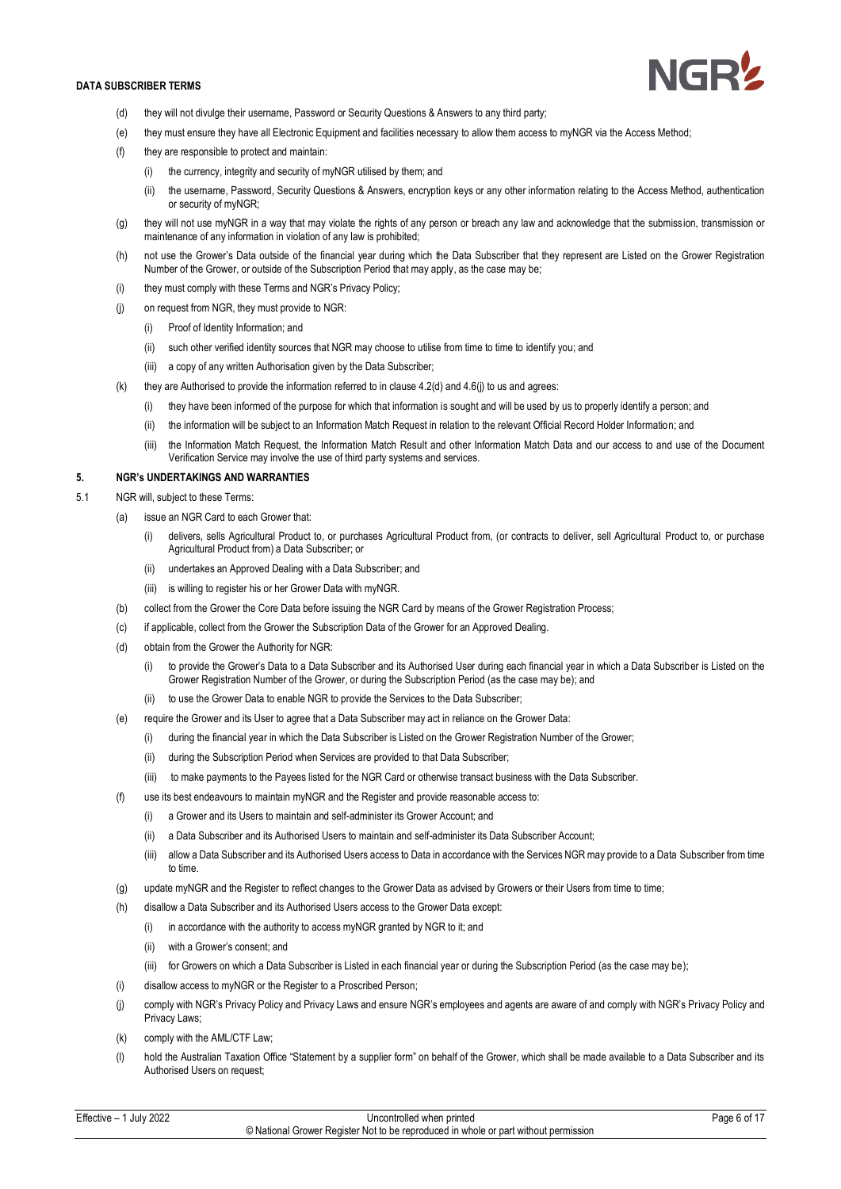

- (d) they will not divulge their username, Password or Security Questions & Answers to any third party;
- (e) they must ensure they have all Electronic Equipment and facilities necessary to allow them access to myNGR via the Access Method;
- (f) they are responsible to protect and maintain:
	- (i) the currency, integrity and security of myNGR utilised by them; and
	- (ii) the username, Password, Security Questions & Answers, encryption keys or any other information relating to the Access Method, authentication or security of myNGR;
- (g) they will not use myNGR in a way that may violate the rights of any person or breach any law and acknowledge that the submission, transmission or maintenance of any information in violation of any law is prohibited;
- (h) not use the Grower's Data outside of the financial year during which the Data Subscriber that they represent are Listed on the Grower Registration Number of the Grower, or outside of the Subscription Period that may apply, as the case may be;
- (i) they must comply with these Terms and NGR's Privacy Policy;
- (j) on request from NGR, they must provide to NGR:
	- (i) Proof of Identity Information; and
	- (ii) such other verified identity sources that NGR may choose to utilise from time to time to identify you; and
	- (iii) a copy of any written Authorisation given by the Data Subscriber;
- (k) they are Authorised to provide the information referred to in clause  $4.2$ (d) and  $4.6$ (j) to us and agrees:
	- (i) they have been informed of the purpose for which that information is sought and will be used by us to properly identify a person; and
	- (ii) the information will be subject to an Information Match Request in relation to the relevant Official Record Holder Information; and
	- (iii) the Information Match Request, the Information Match Result and other Information Match Data and our access to and use of the Document Verification Service may involve the use of third party systems and services.

## **5. NGR's UNDERTAKINGS AND WARRANTIES**

- 5.1 NGR will, subject to these Terms:
	- (a) issue an NGR Card to each Grower that:
		- (i) delivers, sells Agricultural Product to, or purchases Agricultural Product from, (or contracts to deliver, sell Agricultural Product to, or purchase Agricultural Product from) a Data Subscriber; or
		- (ii) undertakes an Approved Dealing with a Data Subscriber; and
		- (iii) is willing to register his or her Grower Data with myNGR.
	- (b) collect from the Grower the Core Data before issuing the NGR Card by means of the Grower Registration Process;
	- (c) if applicable, collect from the Grower the Subscription Data of the Grower for an Approved Dealing.
	- (d) obtain from the Grower the Authority for NGR:
		- (i) to provide the Grower's Data to a Data Subscriber and its Authorised User during each financial year in which a Data Subscriber is Listed on the Grower Registration Number of the Grower, or during the Subscription Period (as the case may be); and
		- (ii) to use the Grower Data to enable NGR to provide the Services to the Data Subscriber;
	- (e) require the Grower and its User to agree that a Data Subscriber may act in reliance on the Grower Data:
		- (i) during the financial year in which the Data Subscriber is Listed on the Grower Registration Number of the Grower;
		- (ii) during the Subscription Period when Services are provided to that Data Subscriber;
		- (iii) to make payments to the Payees listed for the NGR Card or otherwise transact business with the Data Subscriber.
	- (f) use its best endeavours to maintain myNGR and the Register and provide reasonable access to:
		- $(i)$  a Grower and its Users to maintain and self-administer its Grower Account; and
		- (ii) a Data Subscriber and its Authorised Users to maintain and self-administer its Data Subscriber Account;
		- (iii) allow a Data Subscriber and its Authorised Users access to Data in accordance with the Services NGR may provide to a Data Subscriber from time to time.
	- (g) update myNGR and the Register to reflect changes to the Grower Data as advised by Growers or their Users from time to time;
	- (h) disallow a Data Subscriber and its Authorised Users access to the Grower Data except:
		- (i) in accordance with the authority to access myNGR granted by NGR to it; and
		- (ii) with a Grower's consent; and
		- (iii) for Growers on which a Data Subscriber is Listed in each financial year or during the Subscription Period (as the case may be);
	- (i) disallow access to myNGR or the Register to a Proscribed Person;
	- (j) comply with NGR's Privacy Policy and Privacy Laws and ensure NGR's employees and agents are aware of and comply with NGR's Privacy Policy and Privacy Laws;
	- (k) comply with the AML/CTF Law;
	- (l) hold the Australian Taxation Office "Statement by a supplier form" on behalf of the Grower, which shall be made available to a Data Subscriber and its Authorised Users on request;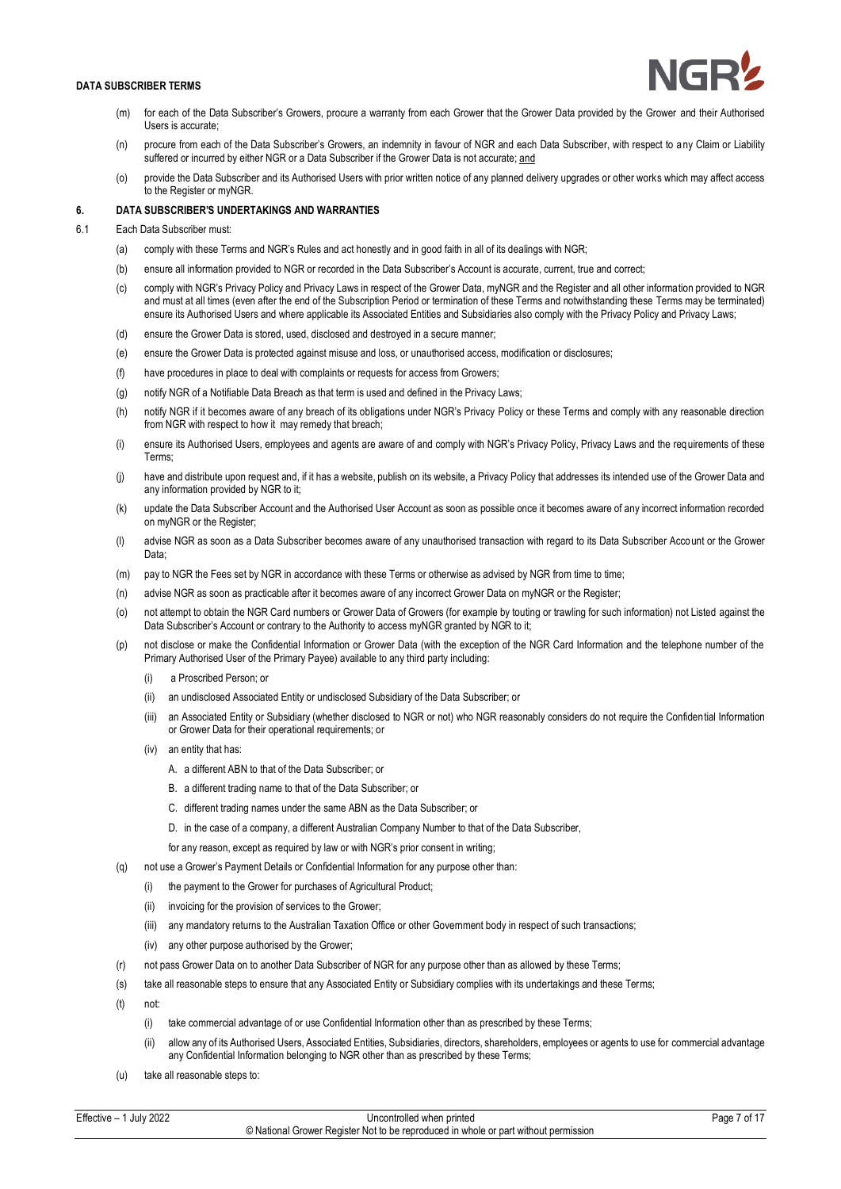- (m) for each of the Data Subscriber's Growers, procure a warranty from each Grower that the Grower Data provided by the Grower and their Authorised Users is accurate;
- (n) procure from each of the Data Subscriber's Growers, an indemnity in favour of NGR and each Data Subscriber, with respect to any Claim or Liability suffered or incurred by either NGR or a Data Subscriber if the Grower Data is not accurate; and
- (o) provide the Data Subscriber and its Authorised Users with prior written notice of any planned delivery upgrades or other works which may affect access to the Register or myNGR.

## **6. DATA SUBSCRIBER'S UNDERTAKINGS AND WARRANTIES**

- 6.1 Each Data Subscriber must:
	- (a) comply with these Terms and NGR's Rules and act honestly and in good faith in all of its dealings with NGR;
	- (b) ensure all information provided to NGR or recorded in the Data Subscriber's Account is accurate, current, true and correct;
	- (c) comply with NGR's Privacy Policy and Privacy Laws in respect of the Grower Data, myNGR and the Register and all other information provided to NGR and must at all times (even after the end of the Subscription Period or termination of these Terms and notwithstanding these Terms may be terminated) ensure its Authorised Users and where applicable its Associated Entities and Subsidiaries also comply with the Privacy Policy and Privacy Laws;
	- (d) ensure the Grower Data is stored, used, disclosed and destroyed in a secure manner;
	- (e) ensure the Grower Data is protected against misuse and loss, or unauthorised access, modification or disclosures;
	- (f) have procedures in place to deal with complaints or requests for access from Growers;
	- (g) notify NGR of a Notifiable Data Breach as that term is used and defined in the Privacy Laws;
	- (h) notify NGR if it becomes aware of any breach of its obligations under NGR's Privacy Policy or these Terms and comply with any reasonable direction from NGR with respect to how it may remedy that breach;
	- (i) ensure its Authorised Users, employees and agents are aware of and comply with NGR's Privacy Policy, Privacy Laws and the requirements of these Terms;
	- (i) have and distribute upon request and, if it has a website, publish on its website, a Privacy Policy that addresses its intended use of the Grower Data and any information provided by NGR to it;
	- (k) update the Data Subscriber Account and the Authorised User Account as soon as possible once it becomes aware of any incorrect information recorded on myNGR or the Register;
	- (l) advise NGR as soon as a Data Subscriber becomes aware of any unauthorised transaction with regard to its Data Subscriber Account or the Grower Data;
	- (m) pay to NGR the Fees set by NGR in accordance with these Terms or otherwise as advised by NGR from time to time;
	- (n) advise NGR as soon as practicable after it becomes aware of any incorrect Grower Data on myNGR or the Register;
	- (o) not attempt to obtain the NGR Card numbers or Grower Data of Growers (for example by touting or trawling for such information) not Listed against the Data Subscriber's Account or contrary to the Authority to access myNGR granted by NGR to it;
	- not disclose or make the Confidential Information or Grower Data (with the exception of the NGR Card Information and the telephone number of the Primary Authorised User of the Primary Payee) available to any third party including:
		- (i) a Proscribed Person; or
		- (ii) an undisclosed Associated Entity or undisclosed Subsidiary of the Data Subscriber; or
		- (iii) an Associated Entity or Subsidiary (whether disclosed to NGR or not) who NGR reasonably considers do not require the Confidential Information or Grower Data for their operational requirements; or
		- (iv) an entity that has:
			- A. a different ABN to that of the Data Subscriber; or
			- B. a different trading name to that of the Data Subscriber; or
			- C. different trading names under the same ABN as the Data Subscriber; or
			- D. in the case of a company, a different Australian Company Number to that of the Data Subscriber,
			- for any reason, except as required by law or with NGR's prior consent in writing;
	- (q) not use a Grower's Payment Details or Confidential Information for any purpose other than:
		- (i) the payment to the Grower for purchases of Agricultural Product;
			- (ii) invoicing for the provision of services to the Grower;
			- (iii) any mandatory returns to the Australian Taxation Office or other Government body in respect of such transactions;
		- (iv) any other purpose authorised by the Grower;
	- (r) not pass Grower Data on to another Data Subscriber of NGR for any purpose other than as allowed by these Terms;
	- (s) take all reasonable steps to ensure that any Associated Entity or Subsidiary complies with its undertakings and these Terms;
	- $(t)$  not
		- (i) take commercial advantage of or use Confidential Information other than as prescribed by these Terms;
		- (ii) allow any of its Authorised Users, Associated Entities, Subsidiaries, directors, shareholders, employees or agents to use for commercial advantage any Confidential Information belonging to NGR other than as prescribed by these Terms;
	- (u) take all reasonable steps to: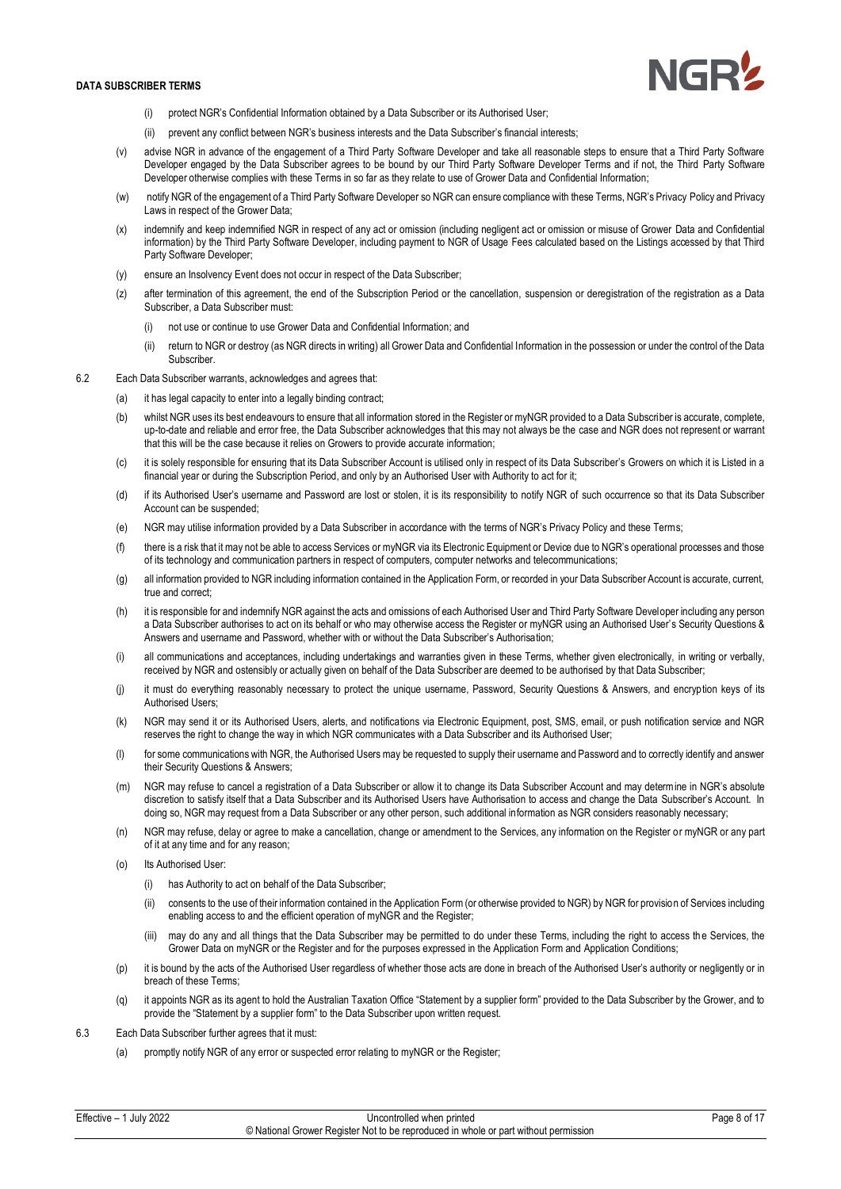

- (i) protect NGR's Confidential Information obtained by a Data Subscriber or its Authorised User;
- (ii) prevent any conflict between NGR's business interests and the Data Subscriber's financial interests;
- (v) advise NGR in advance of the engagement of a Third Party Software Developer and take all reasonable steps to ensure that a Third Party Software Developer engaged by the Data Subscriber agrees to be bound by our Third Party Software Developer Terms and if not, the Third Party Software Developer otherwise complies with these Terms in so far as they relate to use of Grower Data and Confidential Information;
- (w) notify NGR of the engagement of a Third Party Software Developer so NGR can ensure compliance with these Terms, NGR's Privacy Policy and Privacy Laws in respect of the Grower Data;
- (x) indemnify and keep indemnified NGR in respect of any act or omission (including negligent act or omission or misuse of Grower Data and Confidential information) by the Third Party Software Developer, including payment to NGR of Usage Fees calculated based on the Listings accessed by that Third Party Software Developer;
- (y) ensure an Insolvency Event does not occur in respect of the Data Subscriber;
- (z) after termination of this agreement, the end of the Subscription Period or the cancellation, suspension or deregistration of the registration as a Data Subscriber, a Data Subscriber must:
	- (i) not use or continue to use Grower Data and Confidential Information; and
	- (ii) return to NGR or destroy (as NGR directs in writing) all Grower Data and Confidential Information in the possession or under the control of the Data Subscriber.
- 6.2 Each Data Subscriber warrants, acknowledges and agrees that:
	- (a) it has legal capacity to enter into a legally binding contract;
	- (b) whilst NGR uses its best endeavours to ensure that all information stored in the Register or myNGR provided to a Data Subscriber is accurate, complete, up-to-date and reliable and error free, the Data Subscriber acknowledges that this may not always be the case and NGR does not represent or warrant that this will be the case because it relies on Growers to provide accurate information;
	- (c) it is solely responsible for ensuring that its Data Subscriber Account is utilised only in respect of its Data Subscriber's Growers on which it is Listed in a financial year or during the Subscription Period, and only by an Authorised User with Authority to act for it;
	- (d) if its Authorised User's username and Password are lost or stolen, it is its responsibility to notify NGR of such occurrence so that its Data Subscriber Account can be suspended;
	- (e) NGR may utilise information provided by a Data Subscriber in accordance with the terms of NGR's Privacy Policy and these Terms;
	- (f) there is a risk that it may not be able to access Services or myNGR via its Electronic Equipment or Device due to NGR's operational processes and those of its technology and communication partners in respect of computers, computer networks and telecommunications;
	- (g) all information provided to NGR including information contained in the Application Form, or recorded in your Data Subscriber Account is accurate, current, true and correct;
	- (h) it is responsible for and indemnify NGR against the acts and omissions of each Authorised User and Third Party Software Developer including any person a Data Subscriber authorises to act on its behalf or who may otherwise access the Register or myNGR using an Authorised User's Security Questions & Answers and username and Password, whether with or without the Data Subscriber's Authorisation;
	- (i) all communications and acceptances, including undertakings and warranties given in these Terms, whether given electronically, in writing or verbally, received by NGR and ostensibly or actually given on behalf of the Data Subscriber are deemed to be authorised by that Data Subscriber;
	- (j) it must do everything reasonably necessary to protect the unique username, Password, Security Questions & Answers, and encryption keys of its Authorised Users;
	- (k) NGR may send it or its Authorised Users, alerts, and notifications via Electronic Equipment, post, SMS, email, or push notification service and NGR reserves the right to change the way in which NGR communicates with a Data Subscriber and its Authorised User;
	- (l) for some communications with NGR, the Authorised Users may be requested to supply their username and Password and to correctly identify and answer their Security Questions & Answers;
	- (m) NGR may refuse to cancel a registration of a Data Subscriber or allow it to change its Data Subscriber Account and may determine in NGR's absolute discretion to satisfy itself that a Data Subscriber and its Authorised Users have Authorisation to access and change the Data Subscriber's Account. In doing so, NGR may request from a Data Subscriber or any other person, such additional information as NGR considers reasonably necessary;
	- NGR may refuse, delay or agree to make a cancellation, change or amendment to the Services, any information on the Register or myNGR or any part of it at any time and for any reason;
	- (o) Its Authorised User:
		- (i) has Authority to act on behalf of the Data Subscriber;
		- (ii) consents to the use of their information contained in the Application Form (or otherwise provided to NGR) by NGR for provision of Services including enabling access to and the efficient operation of myNGR and the Register;
		- (iii) may do any and all things that the Data Subscriber may be permitted to do under these Terms, including the right to access the Services, the Grower Data on myNGR or the Register and for the purposes expressed in the Application Form and Application Conditions;
	- (p) it is bound by the acts of the Authorised User regardless of whether those acts are done in breach of the Authorised User's authority or negligently or in breach of these Terms;
	- (q) it appoints NGR as its agent to hold the Australian Taxation Office "Statement by a supplier form" provided to the Data Subscriber by the Grower, and to provide the "Statement by a supplier form" to the Data Subscriber upon written request.
- 6.3 Each Data Subscriber further agrees that it must:
	- (a) promptly notify NGR of any error or suspected error relating to myNGR or the Register;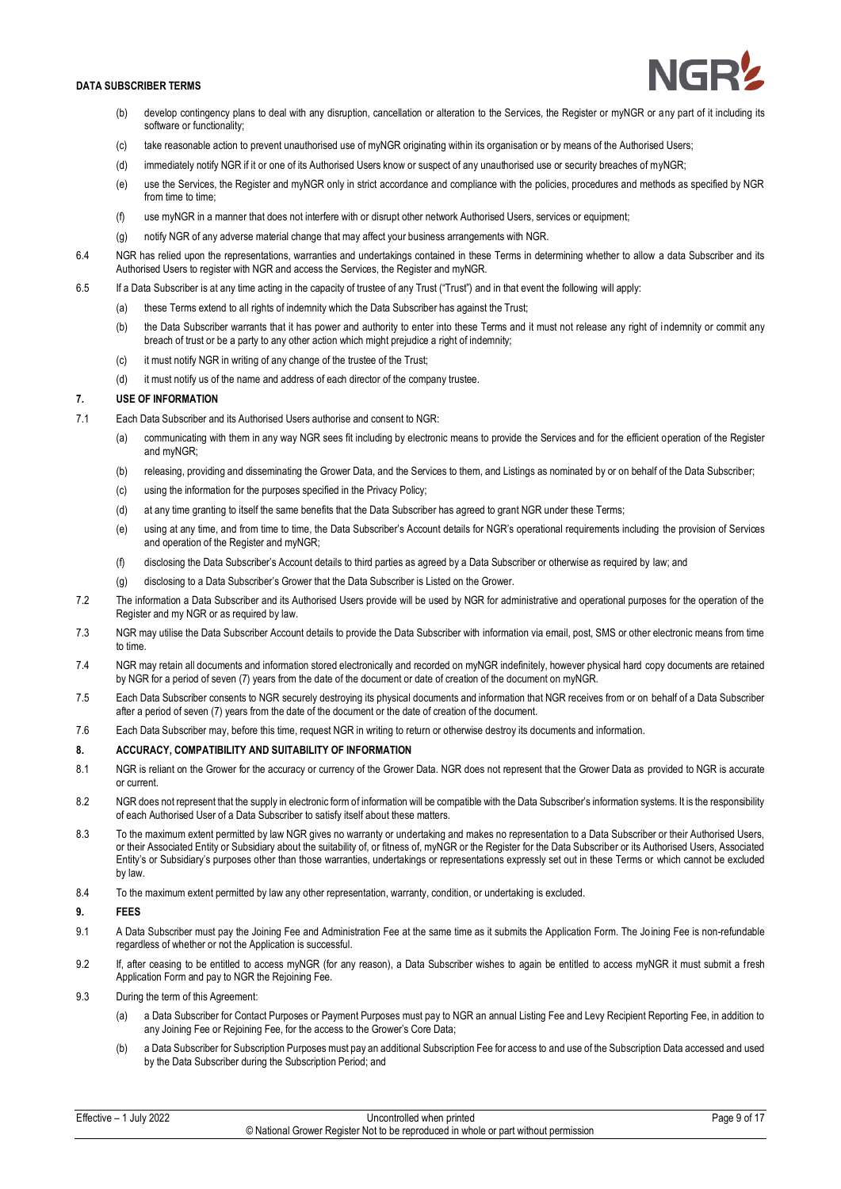

- (b) develop contingency plans to deal with any disruption, cancellation or alteration to the Services, the Register or myNGR or any part of it including its software or functionality;
- (c) take reasonable action to prevent unauthorised use of myNGR originating within its organisation or by means of the Authorised Users;
- (d) immediately notify NGR if it or one of its Authorised Users know or suspect of any unauthorised use or security breaches of myNGR;
- (e) use the Services, the Register and myNGR only in strict accordance and compliance with the policies, procedures and methods as specified by NGR from time to time:
- (f) use myNGR in a manner that does not interfere with or disrupt other network Authorised Users, services or equipment;
- (g) notify NGR of any adverse material change that may affect your business arrangements with NGR.
- 6.4 NGR has relied upon the representations, warranties and undertakings contained in these Terms in determining whether to allow a data Subscriber and its Authorised Users to register with NGR and access the Services, the Register and myNGR.
- 6.5 If a Data Subscriber is at any time acting in the capacity of trustee of any Trust ("Trust") and in that event the following will apply:
	- (a) these Terms extend to all rights of indemnity which the Data Subscriber has against the Trust;
	- (b) the Data Subscriber warrants that it has power and authority to enter into these Terms and it must not release any right of indemnity or commit any breach of trust or be a party to any other action which might prejudice a right of indemnity;
	- (c) it must notify NGR in writing of any change of the trustee of the Trust;
	- (d) it must notify us of the name and address of each director of the company trustee.

# **7. USE OF INFORMATION**

- 7.1 Each Data Subscriber and its Authorised Users authorise and consent to NGR:
	- (a) communicating with them in any way NGR sees fit including by electronic means to provide the Services and for the efficient operation of the Register and myNGR;
	- (b) releasing, providing and disseminating the Grower Data, and the Services to them, and Listings as nominated by or on behalf of the Data Subscriber;
	- (c) using the information for the purposes specified in the Privacy Policy;
	- (d) at any time granting to itself the same benefits that the Data Subscriber has agreed to grant NGR under these Terms;
	- (e) using at any time, and from time to time, the Data Subscriber's Account details for NGR's operational requirements including the provision of Services and operation of the Register and myNGR;
	- (f) disclosing the Data Subscriber's Account details to third parties as agreed by a Data Subscriber or otherwise as required by law; and
	- (g) disclosing to a Data Subscriber's Grower that the Data Subscriber is Listed on the Grower.
- 7.2 The information a Data Subscriber and its Authorised Users provide will be used by NGR for administrative and operational purposes for the operation of the Register and my NGR or as required by law.
- 7.3 NGR may utilise the Data Subscriber Account details to provide the Data Subscriber with information via email, post, SMS or other electronic means from time to time.
- 7.4 NGR may retain all documents and information stored electronically and recorded on myNGR indefinitely, however physical hard copy documents are retained by NGR for a period of seven (7) years from the date of the document or date of creation of the document on myNGR.
- 7.5 Each Data Subscriber consents to NGR securely destroying its physical documents and information that NGR receives from or on behalf of a Data Subscriber after a period of seven (7) years from the date of the document or the date of creation of the document.
- 7.6 Each Data Subscriber may, before this time, request NGR in writing to return or otherwise destroy its documents and information.

## **8. ACCURACY, COMPATIBILITY AND SUITABILITY OF INFORMATION**

- 8.1 NGR is reliant on the Grower for the accuracy or currency of the Grower Data. NGR does not represent that the Grower Data as provided to NGR is accurate or current.
- 8.2 NGR does not represent that the supply in electronic form of information will be compatible with the Data Subscriber's information systems. It is the responsibility of each Authorised User of a Data Subscriber to satisfy itself about these matters.
- 8.3 To the maximum extent permitted by law NGR gives no warranty or undertaking and makes no representation to a Data Subscriber or their Authorised Users, or their Associated Entity or Subsidiary about the suitability of, or fitness of, myNGR or the Register for the Data Subscriber or its Authorised Users, Associated Entity's or Subsidiary's purposes other than those warranties, undertakings or representations expressly set out in these Terms or which cannot be excluded by law.
- 8.4 To the maximum extent permitted by law any other representation, warranty, condition, or undertaking is excluded.

## **9. FEES**

- 9.1 A Data Subscriber must pay the Joining Fee and Administration Fee at the same time as it submits the Application Form. The Joining Fee is non-refundable regardless of whether or not the Application is successful.
- 9.2 If, after ceasing to be entitled to access myNGR (for any reason), a Data Subscriber wishes to again be entitled to access myNGR it must submit a fresh Application Form and pay to NGR the Rejoining Fee.
- 9.3 During the term of this Agreement:
	- (a) a Data Subscriber for Contact Purposes or Payment Purposes must pay to NGR an annual Listing Fee and Levy Recipient Reporting Fee, in addition to any Joining Fee or Rejoining Fee, for the access to the Grower's Core Data;
	- (b) a Data Subscriber for Subscription Purposes must pay an additional Subscription Fee for access to and use of the Subscription Data accessed and used by the Data Subscriber during the Subscription Period; and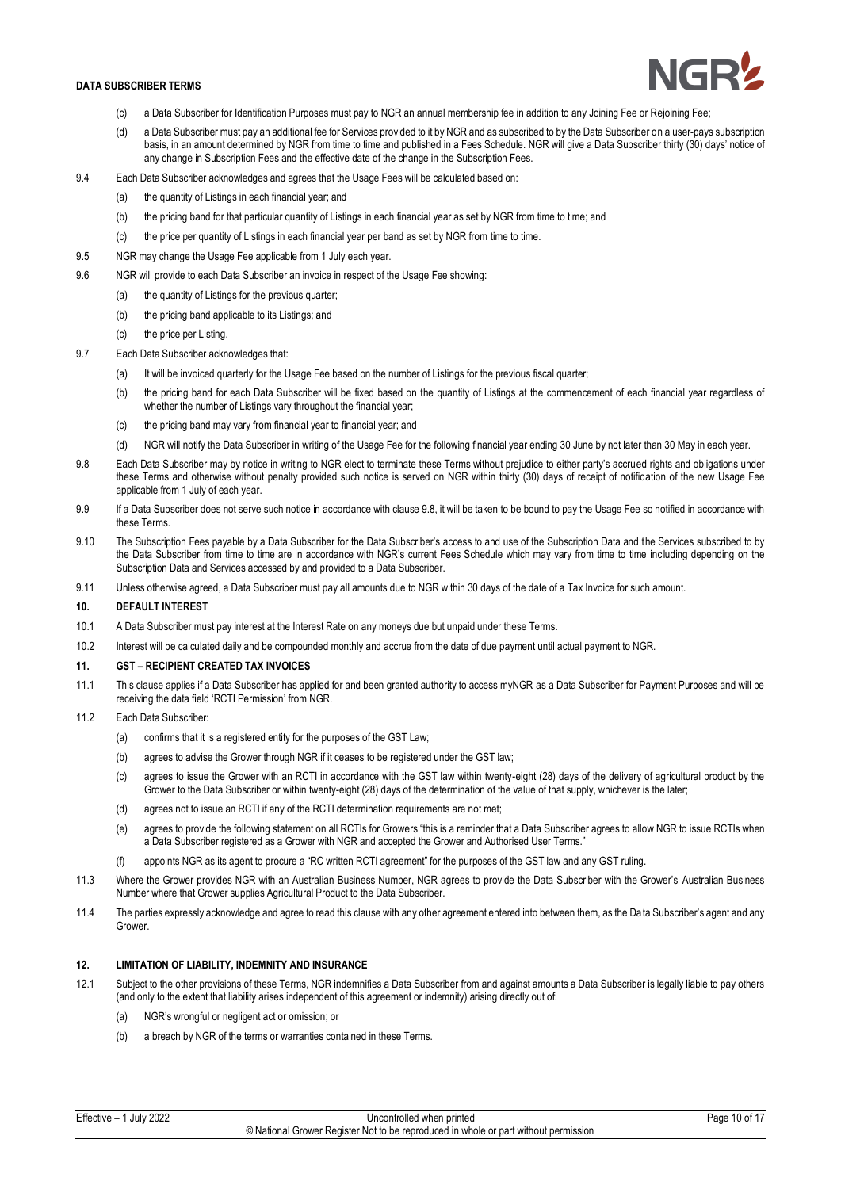

- (c) a Data Subscriber for Identification Purposes must pay to NGR an annual membership fee in addition to any Joining Fee or Rejoining Fee;
- (d) a Data Subscriber must pay an additional fee for Services provided to it by NGR and as subscribed to by the Data Subscriber on a user-pays subscription basis, in an amount determined by NGR from time to time and published in a Fees Schedule. NGR will give a Data Subscriber thirty (30) days' notice of any change in Subscription Fees and the effective date of the change in the Subscription Fees.
- 9.4 Each Data Subscriber acknowledges and agrees that the Usage Fees will be calculated based on:
	- (a) the quantity of Listings in each financial year; and
	- (b) the pricing band for that particular quantity of Listings in each financial year as set by NGR from time to time; and
	- (c) the price per quantity of Listings in each financial year per band as set by NGR from time to time.
- 9.5 NGR may change the Usage Fee applicable from 1 July each year.
- 9.6 NGR will provide to each Data Subscriber an invoice in respect of the Usage Fee showing:
	- (a) the quantity of Listings for the previous quarter;
	- (b) the pricing band applicable to its Listings; and
	- (c) the price per Listing.
- 9.7 Each Data Subscriber acknowledges that:
	- (a) It will be invoiced quarterly for the Usage Fee based on the number of Listings for the previous fiscal quarter;
	- (b) the pricing band for each Data Subscriber will be fixed based on the quantity of Listings at the commencement of each financial year regardless of whether the number of Listings vary throughout the financial year;
	- (c) the pricing band may vary from financial year to financial year; and
	- (d) NGR will notify the Data Subscriber in writing of the Usage Fee for the following financial year ending 30 June by not later than 30 May in each year.
- 9.8 Each Data Subscriber may by notice in writing to NGR elect to terminate these Terms without prejudice to either party's accrued rights and obligations under these Terms and otherwise without penalty provided such notice is served on NGR within thirty (30) days of receipt of notification of the new Usage Fee applicable from 1 July of each year.
- 9.9 If a Data Subscriber does not serve such notice in accordance with clause 9.8, it will be taken to be bound to pay the Usage Fee so notified in accordance with these Terms.
- 9.10 The Subscription Fees payable by a Data Subscriber for the Data Subscriber's access to and use of the Subscription Data and the Services subscribed to by the Data Subscriber from time to time are in accordance with NGR's current Fees Schedule which may vary from time to time including depending on the Subscription Data and Services accessed by and provided to a Data Subscriber.
- 9.11 Unless otherwise agreed, a Data Subscriber must pay all amounts due to NGR within 30 days of the date of a Tax Invoice for such amount.

#### **10. DEFAULT INTEREST**

- 10.1 A Data Subscriber must pay interest at the Interest Rate on any moneys due but unpaid under these Terms.
- 10.2 Interest will be calculated daily and be compounded monthly and accrue from the date of due payment until actual payment to NGR.

#### **11. GST – RECIPIENT CREATED TAX INVOICES**

- 11.1 This clause applies if a Data Subscriber has applied for and been granted authority to access myNGR as a Data Subscriber for Payment Purposes and will be receiving the data field 'RCTI Permission' from NGR.
- 11.2 Each Data Subscriber:
	- (a) confirms that it is a registered entity for the purposes of the GST Law;
	- (b) agrees to advise the Grower through NGR if it ceases to be registered under the GST law;
	- (c) agrees to issue the Grower with an RCTI in accordance with the GST law within twenty-eight (28) days of the delivery of agricultural product by the Grower to the Data Subscriber or within twenty-eight (28) days of the determination of the value of that supply, whichever is the later;
	- (d) agrees not to issue an RCTI if any of the RCTI determination requirements are not met;
	- (e) agrees to provide the following statement on all RCTIs for Growers "this is a reminder that a Data Subscriber agrees to allow NGR to issue RCTIs when a Data Subscriber registered as a Grower with NGR and accepted the Grower and Authorised User Terms."
	- (f) appoints NGR as its agent to procure a "RC written RCTI agreement" for the purposes of the GST law and any GST ruling.
- 11.3 Where the Grower provides NGR with an Australian Business Number, NGR agrees to provide the Data Subscriber with the Grower's Australian Business Number where that Grower supplies Agricultural Product to the Data Subscriber.
- 11.4 The parties expressly acknowledge and agree to read this clause with any other agreement entered into between them, as the Data Subscriber's agent and any Grower.

# **12. LIMITATION OF LIABILITY, INDEMNITY AND INSURANCE**

- 12.1 Subject to the other provisions of these Terms, NGR indemnifies a Data Subscriber from and against amounts a Data Subscriber is legally liable to pay others (and only to the extent that liability arises independent of this agreement or indemnity) arising directly out of:
	- (a) NGR's wrongful or negligent act or omission; or
	- (b) a breach by NGR of the terms or warranties contained in these Terms.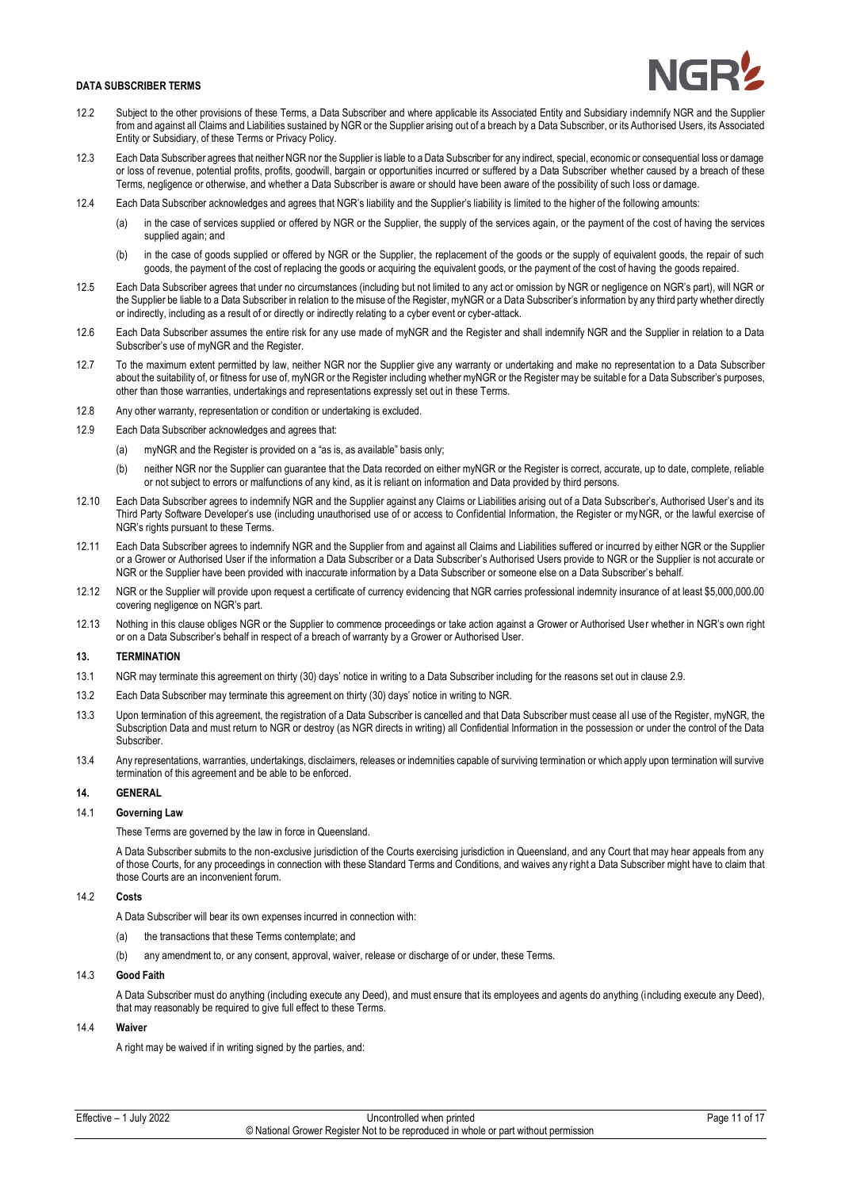- 12.2 Subject to the other provisions of these Terms, a Data Subscriber and where applicable its Associated Entity and Subsidiary indemnify NGR and the Supplier from and against all Claims and Liabilities sustained by NGR or the Supplier arising out of a breach by a Data Subscriber, or its Authorised Users, its Associated Entity or Subsidiary, of these Terms or Privacy Policy.
- 12.3 Each Data Subscriber agrees that neither NGR nor the Supplier is liable to a Data Subscriber for any indirect, special, economic or consequential loss or damage or loss of revenue, potential profits, profits, goodwill, bargain or opportunities incurred or suffered by a Data Subscriber whether caused by a breach of these Terms, negligence or otherwise, and whether a Data Subscriber is aware or should have been aware of the possibility of such loss or damage.
- 12.4 Each Data Subscriber acknowledges and agrees that NGR's liability and the Supplier's liability is limited to the higher of the following amounts:
	- (a) in the case of services supplied or offered by NGR or the Supplier, the supply of the services again, or the payment of the cost of having the services supplied again; and
	- (b) in the case of goods supplied or offered by NGR or the Supplier, the replacement of the goods or the supply of equivalent goods, the repair of such goods, the payment of the cost of replacing the goods or acquiring the equivalent goods, or the payment of the cost of having the goods repaired.
- 12.5 Each Data Subscriber agrees that under no circumstances (including but not limited to any act or omission by NGR or negligence on NGR's part), will NGR or the Supplier be liable to a Data Subscriber in relation to the misuse of the Register, myNGR or a Data Subscriber's information by any third party whether directly or indirectly, including as a result of or directly or indirectly relating to a cyber event or cyber-attack.
- 12.6 Each Data Subscriber assumes the entire risk for any use made of myNGR and the Register and shall indemnify NGR and the Supplier in relation to a Data Subscriber's use of myNGR and the Register.
- 12.7 To the maximum extent permitted by law, neither NGR nor the Supplier give any warranty or undertaking and make no representation to a Data Subscriber about the suitability of, or fitness for use of, myNGR or the Register including whether myNGR or the Register may be suitable for a Data Subscriber's purposes, other than those warranties, undertakings and representations expressly set out in these Terms.
- 12.8 Any other warranty, representation or condition or undertaking is excluded.
- 12.9 Each Data Subscriber acknowledges and agrees that:
	- (a) myNGR and the Register is provided on a "as is, as available" basis only;
	- (b) neither NGR nor the Supplier can guarantee that the Data recorded on either myNGR or the Register is correct, accurate, up to date, complete, reliable or not subject to errors or malfunctions of any kind, as it is reliant on information and Data provided by third persons.
- 12.10 Each Data Subscriber agrees to indemnify NGR and the Supplier against any Claims or Liabilities arising out of a Data Subscriber's, Authorised User's and its Third Party Software Developer's use (including unauthorised use of or access to Confidential Information, the Register or myNGR, or the lawful exercise of NGR's rights pursuant to these Terms.
- 12.11 Each Data Subscriber agrees to indemnify NGR and the Supplier from and against all Claims and Liabilities suffered or incurred by either NGR or the Supplier or a Grower or Authorised User if the information a Data Subscriber or a Data Subscriber's Authorised Users provide to NGR or the Supplier is not accurate or NGR or the Supplier have been provided with inaccurate information by a Data Subscriber or someone else on a Data Subscriber's behalf.
- 12.12 NGR or the Supplier will provide upon request a certificate of currency evidencing that NGR carries professional indemnity insurance of at least \$5,000,000.00 covering negligence on NGR's part.
- 12.13 Nothing in this clause obliges NGR or the Supplier to commence proceedings or take action against a Grower or Authorised User whether in NGR's own right or on a Data Subscriber's behalf in respect of a breach of warranty by a Grower or Authorised User.

## **13.**

- 13.1 NGR may terminate this agreement on thirty (30) days' notice in writing to a Data Subscriber including for the reasons set out in clause 2.9.
- 13.2 Each Data Subscriber may terminate this agreement on thirty (30) days' notice in writing to NGR.
- 13.3 Upon termination of this agreement, the registration of a Data Subscriber is cancelled and that Data Subscriber must cease all use of the Register, myNGR, the Subscription Data and must return to NGR or destroy (as NGR directs in writing) all Confidential Information in the possession or under the control of the Data Subscriber.
- 13.4 Any representations, warranties, undertakings, disclaimers, releases or indemnities capable of surviving termination or which apply upon termination will survive termination of this agreement and be able to be enforced.

## **14. GENERAL**

## 14.1 **Governing Law**

These Terms are governed by the law in force in Queensland.

A Data Subscriber submits to the non-exclusive jurisdiction of the Courts exercising jurisdiction in Queensland, and any Court that may hear appeals from any of those Courts, for any proceedings in connection with these Standard Terms and Conditions, and waives any right a Data Subscriber might have to claim that those Courts are an inconvenient forum.

## 14.2 **Costs**

A Data Subscriber will bear its own expenses incurred in connection with:

- (a) the transactions that these Terms contemplate; and
- (b) any amendment to, or any consent, approval, waiver, release or discharge of or under, these Terms.

#### 14.3 **Good Faith**

A Data Subscriber must do anything (including execute any Deed), and must ensure that its employees and agents do anything (including execute any Deed), that may reasonably be required to give full effect to these Terms.

# 14.4 **Waiver**

A right may be waived if in writing signed by the parties, and: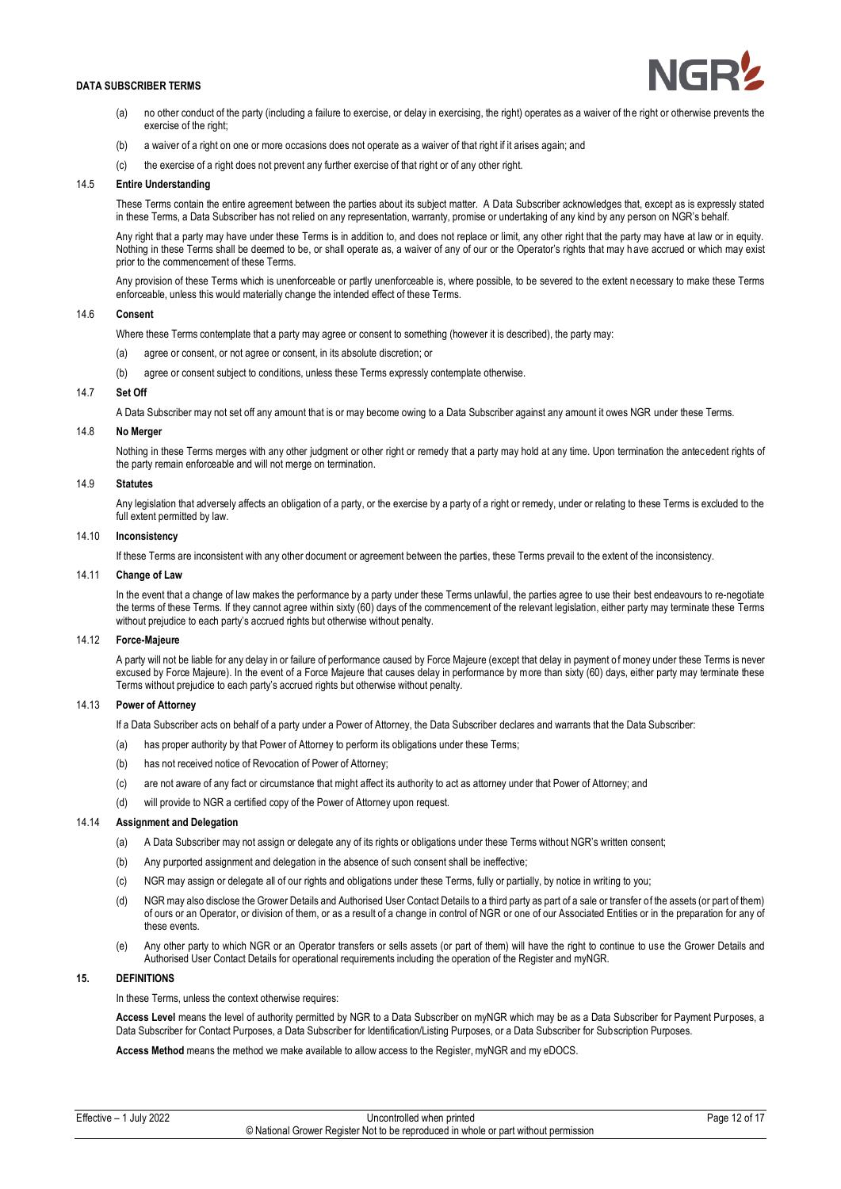

- (a) no other conduct of the party (including a failure to exercise, or delay in exercising, the right) operates as a waiver of the right or otherwise prevents the exercise of the right:
- (b) a waiver of a right on one or more occasions does not operate as a waiver of that right if it arises again; and
- (c) the exercise of a right does not prevent any further exercise of that right or of any other right.

## 14.5 **Entire Understanding**

These Terms contain the entire agreement between the parties about its subject matter. A Data Subscriber acknowledges that, except as is expressly stated in these Terms, a Data Subscriber has not relied on any representation, warranty, promise or undertaking of any kind by any person on NGR's behalf.

Any right that a party may have under these Terms is in addition to, and does not replace or limit, any other right that the party may have at law or in equity. Nothing in these Terms shall be deemed to be, or shall operate as, a waiver of any of our or the Operator's rights that may h ave accrued or which may exist prior to the commencement of these Terms.

Any provision of these Terms which is unenforceable or partly unenforceable is, where possible, to be severed to the extent necessary to make these Terms enforceable, unless this would materially change the intended effect of these Terms.

# 14.6 **Consent**

Where these Terms contemplate that a party may agree or consent to something (however it is described), the party may:

- (a) agree or consent, or not agree or consent, in its absolute discretion; or
- (b) agree or consent subject to conditions, unless these Terms expressly contemplate otherwise.

## 14.7 **Set Off**

A Data Subscriber may not set off any amount that is or may become owing to a Data Subscriber against any amount it owes NGR under these Terms.

# 14.8 **No Merger**

Nothing in these Terms merges with any other judgment or other right or remedy that a party may hold at any time. Upon termination the antecedent rights of the party remain enforceable and will not merge on termination.

#### 14.9 **Statutes**

Any legislation that adversely affects an obligation of a party, or the exercise by a party of a right or remedy, under or relating to these Terms is excluded to the full extent permitted by law.

# 14.10 **Inconsistency**

If these Terms are inconsistent with any other document or agreement between the parties, these Terms prevail to the extent of the inconsistency.

#### 14.11 **Change of Law**

In the event that a change of law makes the performance by a party under these Terms unlawful, the parties agree to use their best endeavours to re-negotiate the terms of these Terms. If they cannot agree within sixty (60) days of the commencement of the relevant legislation, either party may terminate these Terms without prejudice to each party's accrued rights but otherwise without penalty.

## 14.12 **Force-Majeure**

A party will not be liable for any delay in or failure of performance caused by Force Majeure (except that delay in payment of money under these Terms is never excused by Force Majeure). In the event of a Force Majeure that causes delay in performance by more than sixty (60) days, either party may terminate these Terms without prejudice to each party's accrued rights but otherwise without penalty.

## 14.13 **Power of Attorney**

If a Data Subscriber acts on behalf of a party under a Power of Attorney, the Data Subscriber declares and warrants that the Data Subscriber:

- (a) has proper authority by that Power of Attorney to perform its obligations under these Terms;
- (b) has not received notice of Revocation of Power of Attorney;
- (c) are not aware of any fact or circumstance that might affect its authority to act as attorney under that Power of Attorney; and
- (d) will provide to NGR a certified copy of the Power of Attorney upon request.

#### 14.14 **Assignment and Delegation**

- (a) A Data Subscriber may not assign or delegate any of its rights or obligations under these Terms without NGR's written consent;
- (b) Any purported assignment and delegation in the absence of such consent shall be ineffective;
- (c) NGR may assign or delegate all of our rights and obligations under these Terms, fully or partially, by notice in writing to you;
- (d) NGR may also disclose the Grower Details and Authorised User Contact Details to a third party as part of a sale or transfer of the assets (or part of them) of ours or an Operator, or division of them, or as a result of a change in control of NGR or one of our Associated Entities or in the preparation for any of these events.
- (e) Any other party to which NGR or an Operator transfers or sells assets (or part of them) will have the right to continue to use the Grower Details and Authorised User Contact Details for operational requirements including the operation of the Register and myNGR.

# **15. DEFINITIONS**

In these Terms, unless the context otherwise requires:

**Access Level** means the level of authority permitted by NGR to a Data Subscriber on myNGR which may be as a Data Subscriber for Payment Purposes, a Data Subscriber for Contact Purposes, a Data Subscriber for Identification/Listing Purposes, or a Data Subscriber for Subscription Purposes.

**Access Method** means the method we make available to allow access to the Register, myNGR and my eDOCS.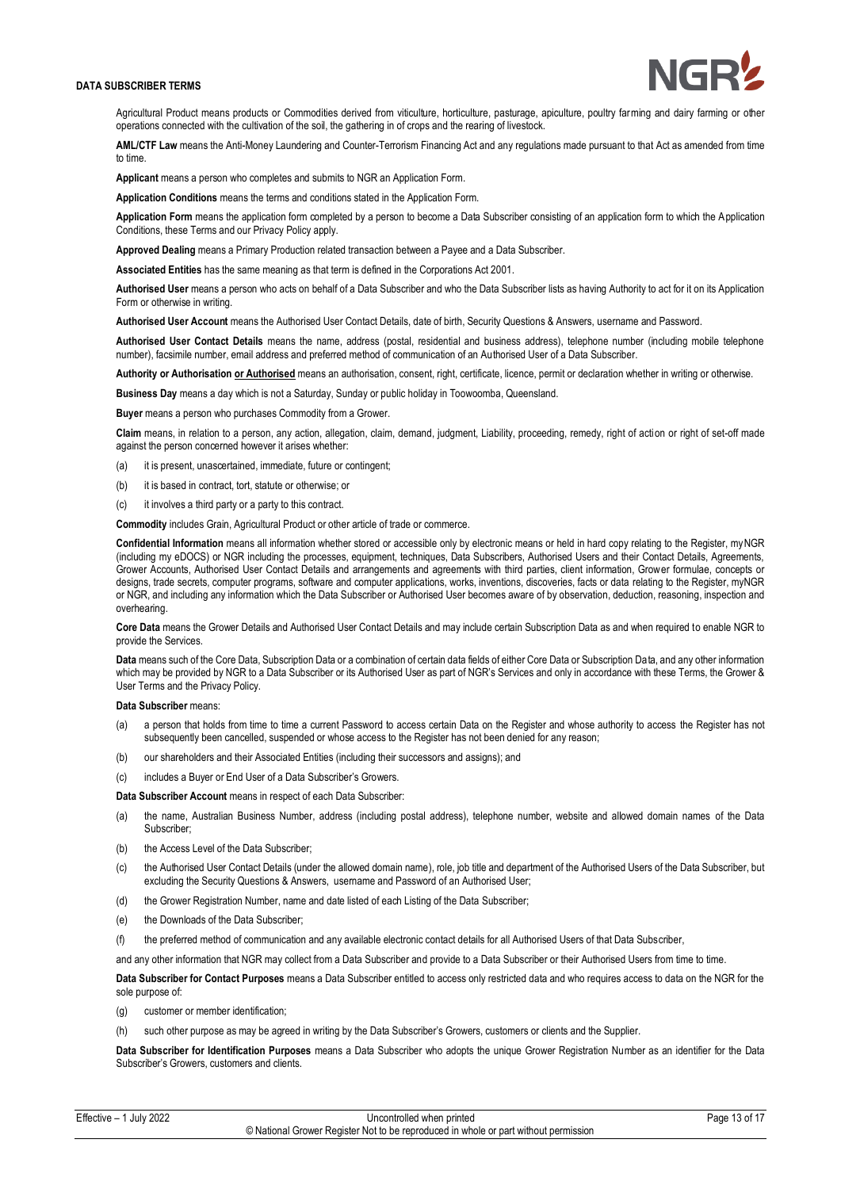

Agricultural Product means products or Commodities derived from viticulture, horticulture, pasturage, apiculture, poultry farming and dairy farming or other operations connected with the cultivation of the soil, the gathering in of crops and the rearing of livestock.

**AML/CTF Law** means the Anti-Money Laundering and Counter-Terrorism Financing Act and any regulations made pursuant to that Act as amended from time to time.

**Applicant** means a person who completes and submits to NGR an Application Form.

**Application Conditions** means the terms and conditions stated in the Application Form.

**Application Form** means the application form completed by a person to become a Data Subscriber consisting of an application form to which the Application Conditions, these Terms and our Privacy Policy apply.

**Approved Dealing** means a Primary Production related transaction between a Payee and a Data Subscriber.

**Associated Entities** has the same meaning as that term is defined in the Corporations Act 2001.

**Authorised User** means a person who acts on behalf of a Data Subscriber and who the Data Subscriber lists as having Authority to act for it on its Application Form or otherwise in writing.

**Authorised User Account** means the Authorised User Contact Details, date of birth, Security Questions & Answers, username and Password.

**Authorised User Contact Details** means the name, address (postal, residential and business address), telephone number (including mobile telephone number), facsimile number, email address and preferred method of communication of an Authorised User of a Data Subscriber.

**Authority or Authorisation or Authorised** means an authorisation, consent, right, certificate, licence, permit or declaration whether in writing or otherwise.

**Business Day** means a day which is not a Saturday, Sunday or public holiday in Toowoomba, Queensland.

**Buyer** means a person who purchases Commodity from a Grower.

**Claim** means, in relation to a person, any action, allegation, claim, demand, judgment, Liability, proceeding, remedy, right of action or right of set-off made against the person concerned however it arises whether:

- (a) it is present, unascertained, immediate, future or contingent;
- (b) it is based in contract, tort, statute or otherwise; or
- (c) it involves a third party or a party to this contract.

**Commodity** includes Grain, Agricultural Product or other article of trade or commerce.

**Confidential Information** means all information whether stored or accessible only by electronic means or held in hard copy relating to the Register, myNGR (including my eDOCS) or NGR including the processes, equipment, techniques, Data Subscribers, Authorised Users and their Contact Details, Agreements, Grower Accounts, Authorised User Contact Details and arrangements and agreements with third parties, client information, Grower formulae, concepts or designs, trade secrets, computer programs, software and computer applications, works, inventions, discoveries, facts or data relating to the Register, myNGR or NGR, and including any information which the Data Subscriber or Authorised User becomes aware of by observation, deduction, reasoning, inspection and overhearing.

**Core Data** means the Grower Details and Authorised User Contact Details and may include certain Subscription Data as and when required to enable NGR to provide the Services.

Data means such of the Core Data, Subscription Data or a combination of certain data fields of either Core Data or Subscription Data, and any other information which may be provided by NGR to a Data Subscriber or its Authorised User as part of NGR's Services and only in accordance with these Terms, the Grower & User Terms and the Privacy Policy.

#### **Data Subscriber** means:

- (a) a person that holds from time to time a current Password to access certain Data on the Register and whose authority to access the Register has not subsequently been cancelled, suspended or whose access to the Register has not been denied for any reason;
- (b) our shareholders and their Associated Entities (including their successors and assigns); and
- (c) includes a Buyer or End User of a Data Subscriber's Growers.

**Data Subscriber Account** means in respect of each Data Subscriber:

- (a) the name, Australian Business Number, address (including postal address), telephone number, website and allowed domain names of the Data Subscriber;
- (b) the Access Level of the Data Subscriber:
- (c) the Authorised User Contact Details (under the allowed domain name), role, job title and department of the Authorised Users of the Data Subscriber, but excluding the Security Questions & Answers, username and Password of an Authorised User;
- (d) the Grower Registration Number, name and date listed of each Listing of the Data Subscriber;
- (e) the Downloads of the Data Subscriber;
- (f) the preferred method of communication and any available electronic contact details for all Authorised Users of that Data Subscriber,
- and any other information that NGR may collect from a Data Subscriber and provide to a Data Subscriber or their Authorised Users from time to time.

**Data Subscriber for Contact Purposes** means a Data Subscriber entitled to access only restricted data and who requires access to data on the NGR for the sole purpose of:

- (g) customer or member identification;
- (h) such other purpose as may be agreed in writing by the Data Subscriber's Growers, customers or clients and the Supplier.

**Data Subscriber for Identification Purposes** means a Data Subscriber who adopts the unique Grower Registration Number as an identifier for the Data Subscriber's Growers, customers and clients.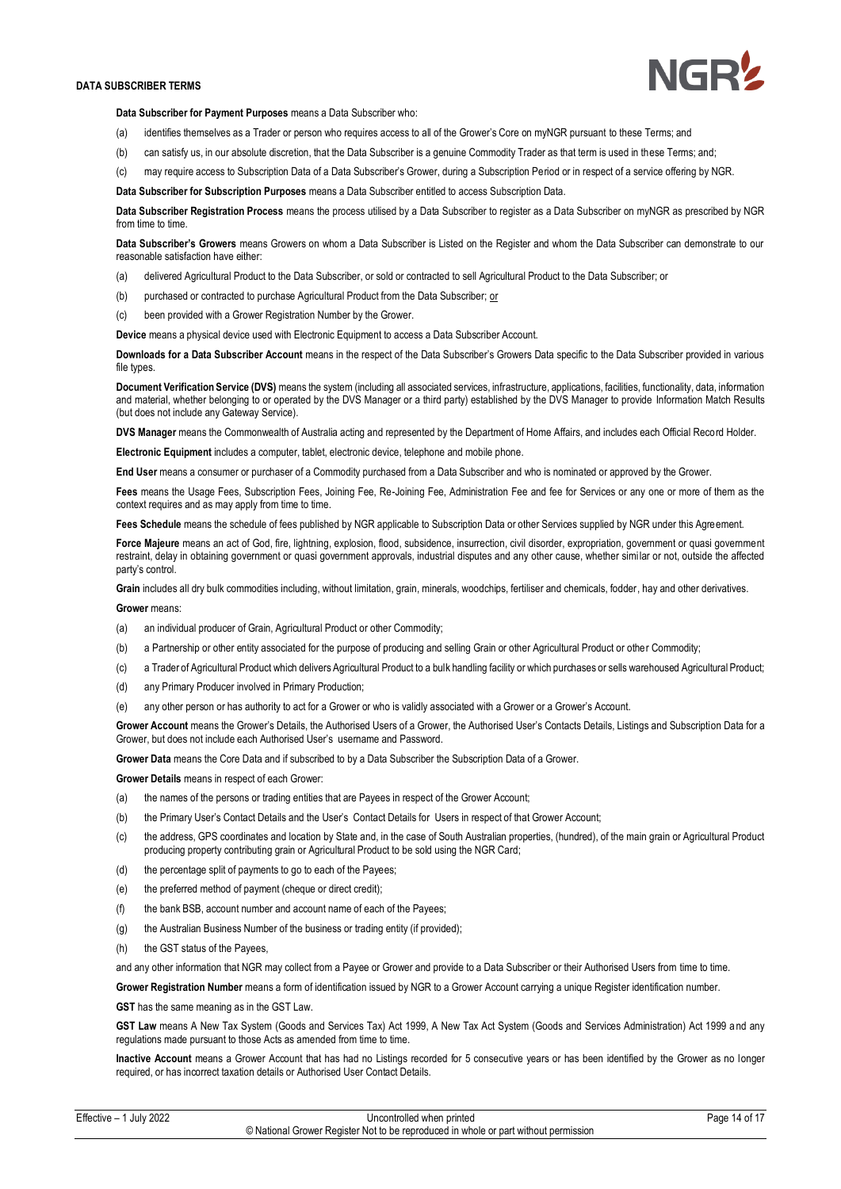

**Data Subscriber for Payment Purposes** means a Data Subscriber who:

- (a) identifies themselves as a Trader or person who requires access to all of the Grower's Core on myNGR pursuant to these Terms; and
- (b) can satisfy us, in our absolute discretion, that the Data Subscriber is a genuine Commodity Trader as that term is used in these Terms; and;
- (c) may require access to Subscription Data of a Data Subscriber's Grower, during a Subscription Period or in respect of a service offering by NGR.

**Data Subscriber for Subscription Purposes** means a Data Subscriber entitled to access Subscription Data.

**Data Subscriber Registration Process** means the process utilised by a Data Subscriber to register as a Data Subscriber on myNGR as prescribed by NGR from time to time.

**Data Subscriber's Growers** means Growers on whom a Data Subscriber is Listed on the Register and whom the Data Subscriber can demonstrate to our reasonable satisfaction have either:

- (a) delivered Agricultural Product to the Data Subscriber, or sold or contracted to sell Agricultural Product to the Data Subscriber; or
- (b) purchased or contracted to purchase Agricultural Product from the Data Subscriber; or
- (c) been provided with a Grower Registration Number by the Grower.

**Device** means a physical device used with Electronic Equipment to access a Data Subscriber Account.

**Downloads for a Data Subscriber Account** means in the respect of the Data Subscriber's Growers Data specific to the Data Subscriber provided in various file types.

**Document Verification Service (DVS)** means the system (including all associated services, infrastructure, applications, facilities, functionality, data, information and material, whether belonging to or operated by the DVS Manager or a third party) established by the DVS Manager to provide Information Match Results (but does not include any Gateway Service).

**DVS Manager** means the Commonwealth of Australia acting and represented by the Department of Home Affairs, and includes each Official Record Holder.

**Electronic Equipment** includes a computer, tablet, electronic device, telephone and mobile phone.

**End User** means a consumer or purchaser of a Commodity purchased from a Data Subscriber and who is nominated or approved by the Grower.

**Fees** means the Usage Fees, Subscription Fees, Joining Fee, Re-Joining Fee, Administration Fee and fee for Services or any one or more of them as the context requires and as may apply from time to time.

**Fees Schedule** means the schedule of fees published by NGR applicable to Subscription Data or other Services supplied by NGR under this Agreement.

Force Majeure means an act of God, fire, lightning, explosion, flood, subsidence, insurrection, civil disorder, expropriation, government or quasi government restraint, delay in obtaining government or quasi government approvals, industrial disputes and any other cause, whether simi lar or not, outside the affected party's control.

**Grain** includes all dry bulk commodities including, without limitation, grain, minerals, woodchips, fertiliser and chemicals, fodder, hay and other derivatives.

#### **Grower** means:

- (a) an individual producer of Grain, Agricultural Product or other Commodity;
- (b) a Partnership or other entity associated for the purpose of producing and selling Grain or other Agricultural Product or other Commodity;
- (c) a Trader of Agricultural Product which delivers Agricultural Product to a bulk handling facility or which purchases or sells warehoused Agricultural Product;
- (d) any Primary Producer involved in Primary Production;
- (e) any other person or has authority to act for a Grower or who is validly associated with a Grower or a Grower's Account.

Grower Account means the Grower's Details, the Authorised Users of a Grower, the Authorised User's Contacts Details, Listings and Subscription Data for a Grower, but does not include each Authorised User's username and Password.

**Grower Data** means the Core Data and if subscribed to by a Data Subscriber the Subscription Data of a Grower.

**Grower Details** means in respect of each Grower:

- (a) the names of the persons or trading entities that are Payees in respect of the Grower Account;
- (b) the Primary User's Contact Details and the User's Contact Details for Users in respect of that Grower Account;
- (c) the address, GPS coordinates and location by State and, in the case of South Australian properties, (hundred), of the main grain or Agricultural Product producing property contributing grain or Agricultural Product to be sold using the NGR Card;
- (d) the percentage split of payments to go to each of the Payees;
- (e) the preferred method of payment (cheque or direct credit);
- (f) the bank BSB, account number and account name of each of the Payees;
- (g) the Australian Business Number of the business or trading entity (if provided);
- (h) the GST status of the Payees,

and any other information that NGR may collect from a Payee or Grower and provide to a Data Subscriber or their Authorised Users from time to time.

**Grower Registration Number** means a form of identification issued by NGR to a Grower Account carrying a unique Register identification number.

**GST** has the same meaning as in the GST Law.

**GST Law** means A New Tax System (Goods and Services Tax) Act 1999, A New Tax Act System (Goods and Services Administration) Act 1999 and any regulations made pursuant to those Acts as amended from time to time.

**Inactive Account** means a Grower Account that has had no Listings recorded for 5 consecutive years or has been identified by the Grower as no longer required, or has incorrect taxation details or Authorised User Contact Details.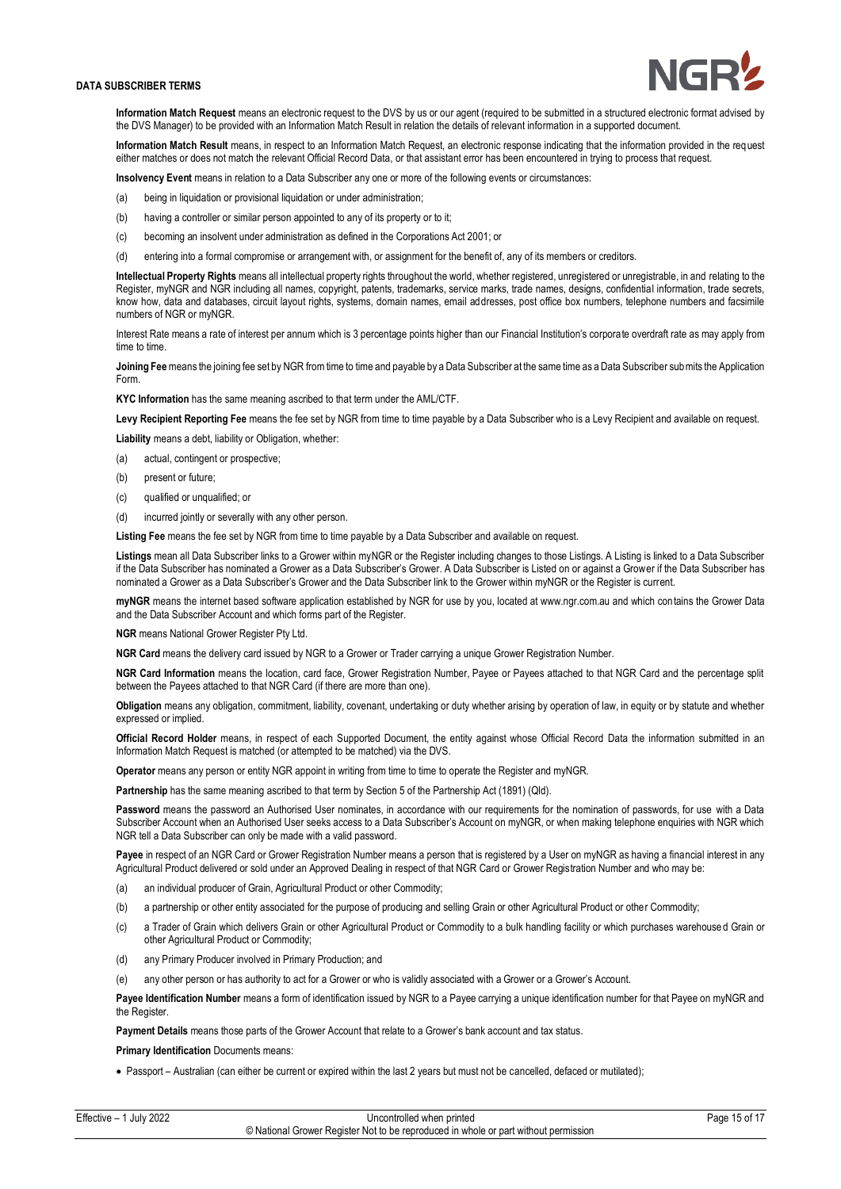

**Information Match Request** means an electronic request to the DVS by us or our agent (required to be submitted in a structured electronic format advised by the DVS Manager) to be provided with an Information Match Result in relation the details of relevant information in a supported document.

**Information Match Result** means, in respect to an Information Match Request, an electronic response indicating that the information provided in the request either matches or does not match the relevant Official Record Data, or that assistant error has been encountered in trying to process that request.

**Insolvency Event** means in relation to a Data Subscriber any one or more of the following events or circumstances:

- (a) being in liquidation or provisional liquidation or under administration;
- (b) having a controller or similar person appointed to any of its property or to it;
- (c) becoming an insolvent under administration as defined in the Corporations Act 2001; or
- (d) entering into a formal compromise or arrangement with, or assignment for the benefit of, any of its members or creditors.

**Intellectual Property Rights** means all intellectual property rights throughout the world, whether registered, unregistered or unregistrable, in and relating to the Register, myNGR and NGR including all names, copyright, patents, trademarks, service marks, trade names, designs, confidential information, trade secrets, know how, data and databases, circuit layout rights, systems, domain names, email addresses, post office box numbers, telephone numbers and facsimile numbers of NGR or myNGR.

Interest Rate means a rate of interest per annum which is 3 percentage points higher than our Financial Institution's corporate overdraft rate as may apply from time to time.

**Joining Fee** means the joining fee set by NGR from time to time and payable by a Data Subscriber at the same time as a Data Subscriber submits the Application Form.

**KYC Information** has the same meaning ascribed to that term under the AML/CTF.

**Levy Recipient Reporting Fee** means the fee set by NGR from time to time payable by a Data Subscriber who is a Levy Recipient and available on request.

**Liability** means a debt, liability or Obligation, whether:

- (a) actual, contingent or prospective;
- (b) present or future;
- (c) qualified or unqualified; or
- (d) incurred jointly or severally with any other person.

**Listing Fee** means the fee set by NGR from time to time payable by a Data Subscriber and available on request.

**Listings** mean all Data Subscriber links to a Grower within myNGR or the Register including changes to those Listings. A Listing is linked to a Data Subscriber if the Data Subscriber has nominated a Grower as a Data Subscriber's Grower. A Data Subscriber is Listed on or against a Grower if the Data Subscriber has nominated a Grower as a Data Subscriber's Grower and the Data Subscriber link to the Grower within myNGR or the Register is current.

**myNGR** means the internet based software application established by NGR for use by you, located at www.ngr.com.au and which contains the Grower Data and the Data Subscriber Account and which forms part of the Register.

**NGR** means National Grower Register Pty Ltd.

**NGR Card** means the delivery card issued by NGR to a Grower or Trader carrying a unique Grower Registration Number.

**NGR Card Information** means the location, card face, Grower Registration Number, Payee or Payees attached to that NGR Card and the percentage split between the Payees attached to that NGR Card (if there are more than one).

**Obligation** means any obligation, commitment, liability, covenant, undertaking or duty whether arising by operation of law, in equity or by statute and whether expressed or implied.

**Official Record Holder** means, in respect of each Supported Document, the entity against whose Official Record Data the information submitted in an Information Match Request is matched (or attempted to be matched) via the DVS.

**Operator** means any person or entity NGR appoint in writing from time to time to operate the Register and myNGR.

Partnership has the same meaning ascribed to that term by Section 5 of the Partnership Act (1891) (Qld).

Password means the password an Authorised User nominates, in accordance with our requirements for the nomination of passwords, for use with a Data Subscriber Account when an Authorised User seeks access to a Data Subscriber's Account on myNGR, or when making telephone enquiries with NGR which NGR tell a Data Subscriber can only be made with a valid password.

Payee in respect of an NGR Card or Grower Registration Number means a person that is registered by a User on myNGR as having a financial interest in any Agricultural Product delivered or sold under an Approved Dealing in respect of that NGR Card or Grower Registration Number and who may be:

- (a) an individual producer of Grain, Agricultural Product or other Commodity;
- (b) a partnership or other entity associated for the purpose of producing and selling Grain or other Agricultural Product or other Commodity;
- (c) a Trader of Grain which delivers Grain or other Agricultural Product or Commodity to a bulk handling facility or which purchases warehoused Grain or other Agricultural Product or Commodity;
- (d) any Primary Producer involved in Primary Production; and
- (e) any other person or has authority to act for a Grower or who is validly associated with a Grower or a Grower's Account.

**Payee Identification Number** means a form of identification issued by NGR to a Payee carrying a unique identification number for that Payee on myNGR and the Register.

Payment Details means those parts of the Grower Account that relate to a Grower's bank account and tax status.

**Primary Identification** Documents means:

• Passport – Australian (can either be current or expired within the last 2 years but must not be cancelled, defaced or mutilated);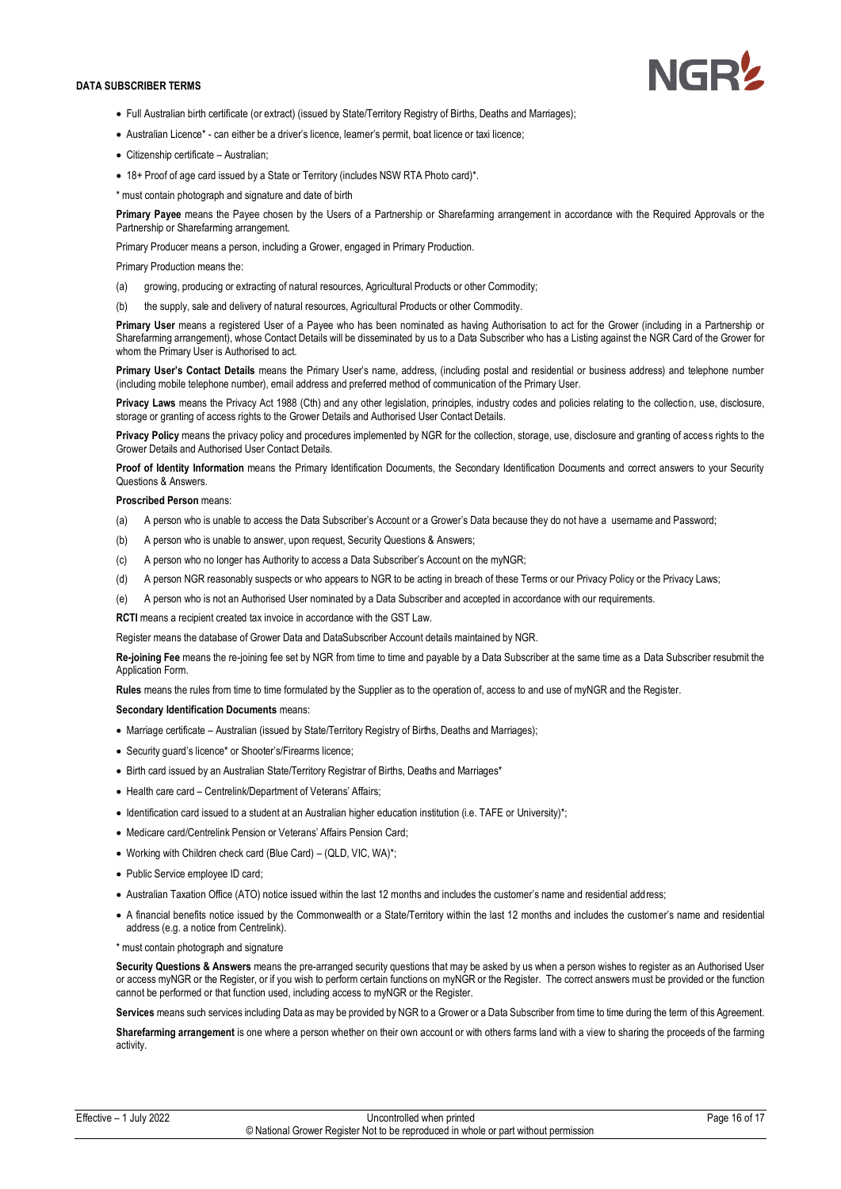

- Full Australian birth certificate (or extract) (issued by State/Territory Registry of Births, Deaths and Marriages);
- Australian Licence\* can either be a driver's licence, learner's permit, boat licence or taxi licence;
- Citizenship certificate Australian;
- 18+ Proof of age card issued by a State or Territory (includes NSW RTA Photo card)\*.
- \* must contain photograph and signature and date of birth

**Primary Payee** means the Payee chosen by the Users of a Partnership or Sharefarming arrangement in accordance with the Required Approvals or the Partnership or Sharefarming arrangement.

Primary Producer means a person, including a Grower, engaged in Primary Production.

### Primary Production means the:

- (a) growing, producing or extracting of natural resources, Agricultural Products or other Commodity;
- (b) the supply, sale and delivery of natural resources, Agricultural Products or other Commodity.

**Primary User** means a registered User of a Payee who has been nominated as having Authorisation to act for the Grower (including in a Partnership or Sharefarming arrangement), whose Contact Details will be disseminated by us to a Data Subscriber who has a Listing against the NGR Card of the Grower for whom the Primary User is Authorised to act.

**Primary User's Contact Details** means the Primary User's name, address, (including postal and residential or business address) and telephone number (including mobile telephone number), email address and preferred method of communication of the Primary User.

**Privacy Laws** means the Privacy Act 1988 (Cth) and any other legislation, principles, industry codes and policies relating to the collection, use, disclosure, storage or granting of access rights to the Grower Details and Authorised User Contact Details.

**Privacy Policy** means the privacy policy and procedures implemented by NGR for the collection, storage, use, disclosure and granting of access rights to the Grower Details and Authorised User Contact Details.

**Proof of Identity Information** means the Primary Identification Documents, the Secondary Identification Documents and correct answers to your Security Questions & Answers.

### **Proscribed Person** means:

- (a) A person who is unable to access the Data Subscriber's Account or a Grower's Data because they do not have a username and Password;
- (b) A person who is unable to answer, upon request, Security Questions & Answers;
- (c) A person who no longer has Authority to access a Data Subscriber's Account on the myNGR;
- (d) A person NGR reasonably suspects or who appears to NGR to be acting in breach of these Terms or our Privacy Policy or the Privacy Laws;
- (e) A person who is not an Authorised User nominated by a Data Subscriber and accepted in accordance with our requirements.

**RCTI** means a recipient created tax invoice in accordance with the GST Law.

Register means the database of Grower Data and DataSubscriber Account details maintained by NGR.

**Re-joining Fee** means the re-joining fee set by NGR from time to time and payable by a Data Subscriber at the same time as a Data Subscriber resubmit the Application Form.

**Rules** means the rules from time to time formulated by the Supplier as to the operation of, access to and use of myNGR and the Register.

### **Secondary Identification Documents** means:

- Marriage certificate Australian (issued by State/Territory Registry of Births, Deaths and Marriages);
- Security guard's licence\* or Shooter's/Firearms licence;
- Birth card issued by an Australian State/Territory Registrar of Births, Deaths and Marriages\*
- Health care card Centrelink/Department of Veterans' Affairs;
- Identification card issued to a student at an Australian higher education institution (i.e. TAFE or University)\*;
- Medicare card/Centrelink Pension or Veterans' Affairs Pension Card;
- Working with Children check card (Blue Card) (QLD, VIC, WA)\*;
- Public Service employee ID card;
- Australian Taxation Office (ATO) notice issued within the last 12 months and includes the customer's name and residential address;
- A financial benefits notice issued by the Commonwealth or a State/Territory within the last 12 months and includes the customer's name and residential address (e.g. a notice from Centrelink).

#### \* must contain photograph and signature

**Security Questions & Answers** means the pre-arranged security questions that may be asked by us when a person wishes to register as an Authorised User or access myNGR or the Register, or if you wish to perform certain functions on myNGR or the Register. The correct answers must be provided or the function cannot be performed or that function used, including access to myNGR or the Register.

**Services** means such services including Data as may be provided by NGR to a Grower or a Data Subscriber from time to time during the term of this Agreement.

**Sharefarming arrangement** is one where a person whether on their own account or with others farms land with a view to sharing the proceeds of the farming activity.